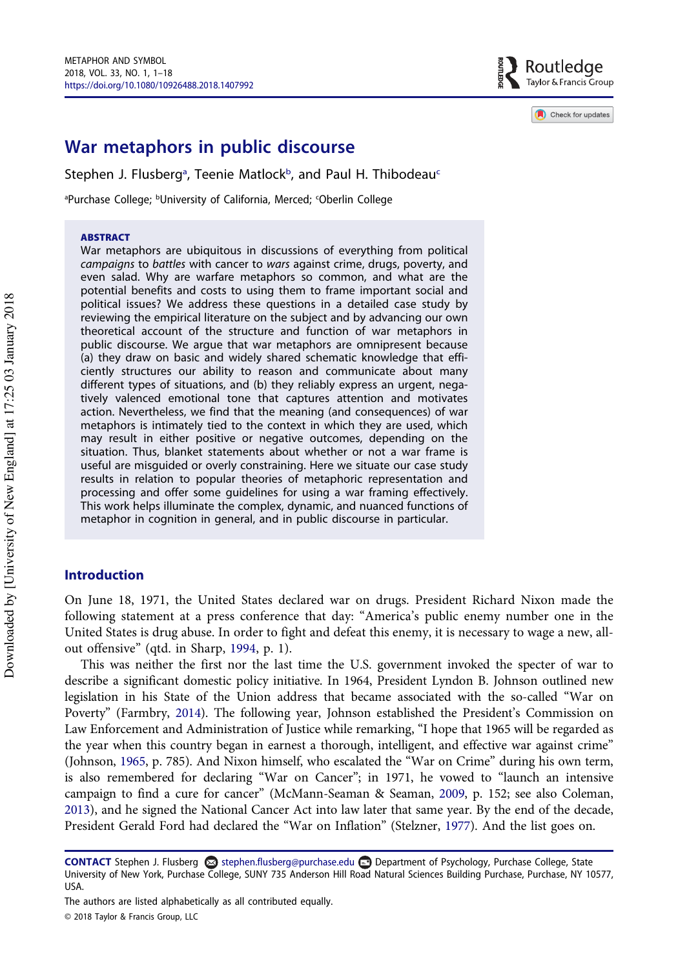

Check for updates

# War metaphors in public discourse

Stephen J. Flusberg<sup>[a](#page-0-0)</sup>, Teenie Matlock<sup>b</sup>, and Paul H. Thibodeau<sup>c</sup>

<span id="page-0-0"></span><sup>a</sup>Purchase College; <sup>b</sup>University of California, Merced; <sup>c</sup>Oberlin College

#### **ABSTRACT**

War metaphors are ubiquitous in discussions of everything from political campaigns to battles with cancer to wars against crime, drugs, poverty, and even salad. Why are warfare metaphors so common, and what are the potential benefits and costs to using them to frame important social and political issues? We address these questions in a detailed case study by reviewing the empirical literature on the subject and by advancing our own theoretical account of the structure and function of war metaphors in public discourse. We argue that war metaphors are omnipresent because (a) they draw on basic and widely shared schematic knowledge that efficiently structures our ability to reason and communicate about many different types of situations, and (b) they reliably express an urgent, negatively valenced emotional tone that captures attention and motivates action. Nevertheless, we find that the meaning (and consequences) of war metaphors is intimately tied to the context in which they are used, which may result in either positive or negative outcomes, depending on the situation. Thus, blanket statements about whether or not a war frame is useful are misguided or overly constraining. Here we situate our case study results in relation to popular theories of metaphoric representation and processing and offer some guidelines for using a war framing effectively. This work helps illuminate the complex, dynamic, and nuanced functions of metaphor in cognition in general, and in public discourse in particular.

# Introduction

On June 18, 1971, the United States declared war on drugs. President Richard Nixon made the following statement at a press conference that day: "America's public enemy number one in the United States is drug abuse. In order to fight and defeat this enemy, it is necessary to wage a new, allout offensive" (qtd. in Sharp, [1994](#page-16-0), p. 1).

This was neither the first nor the last time the U.S. government invoked the specter of war to describe a significant domestic policy initiative. In 1964, President Lyndon B. Johnson outlined new legislation in his State of the Union address that became associated with the so-called "War on Poverty" (Farmbry, [2014](#page-13-0)). The following year, Johnson established the President's Commission on Law Enforcement and Administration of Justice while remarking, "I hope that 1965 will be regarded as the year when this country began in earnest a thorough, intelligent, and effective war against crime" (Johnson, [1965](#page-14-0), p. 785). And Nixon himself, who escalated the "War on Crime" during his own term, is also remembered for declaring "War on Cancer"; in 1971, he vowed to "launch an intensive campaign to find a cure for cancer" (McMann-Seaman & Seaman, [2009](#page-15-0), p. 152; see also Coleman, [2013\)](#page-13-1), and he signed the National Cancer Act into law later that same year. By the end of the decade, President Gerald Ford had declared the "War on Inflation" (Stelzner, [1977\)](#page-16-1). And the list goes on.

CONTACT Stephen J. Flusberg  $\otimes$  stephen.flusberg@purchase.edu Department of Psychology, Purchase College, State University of New York, Purchase College, SUNY 735 Anderson Hill Road Natural Sciences Building Purchase, Purchase, NY 10577, USA.

The authors are listed alphabetically as all contributed equally.

<sup>© 2018</sup> Taylor & Francis Group, LLC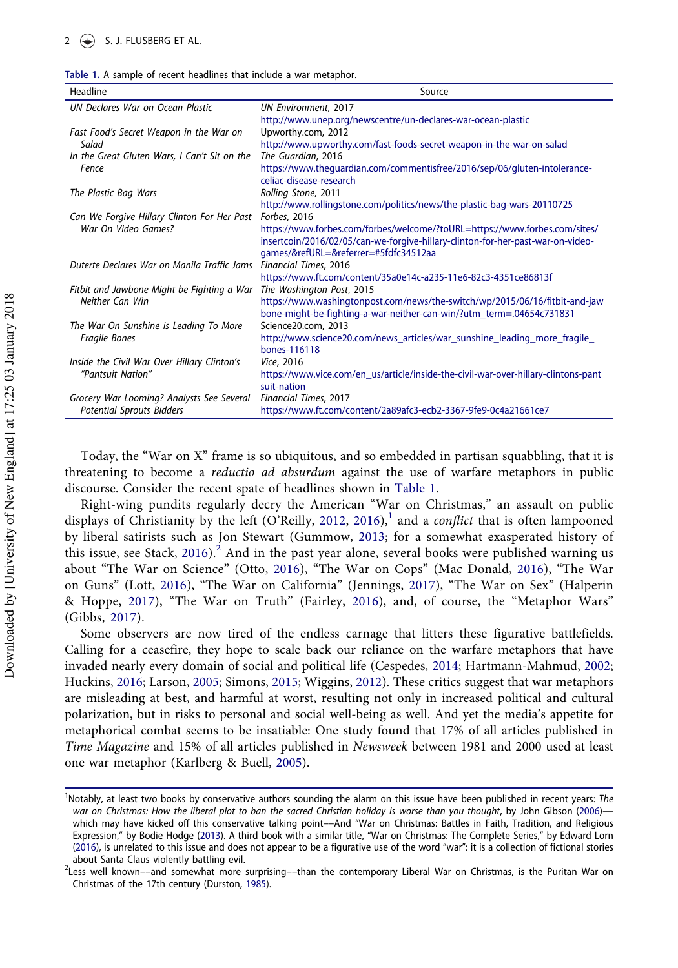<span id="page-1-0"></span>

| Table 1. A sample of recent headlines that include a war metaphor. |  |  |  |  |  |  |  |  |  |  |  |
|--------------------------------------------------------------------|--|--|--|--|--|--|--|--|--|--|--|
|--------------------------------------------------------------------|--|--|--|--|--|--|--|--|--|--|--|

| UN Declares War on Ocean Plastic<br><b>UN Environment, 2017</b><br>http://www.unep.org/newscentre/un-declares-war-ocean-plastic<br>Upworthy.com, 2012<br>Fast Food's Secret Weapon in the War on<br>http://www.upworthy.com/fast-foods-secret-weapon-in-the-war-on-salad<br>Salad<br>The Guardian, 2016<br>In the Great Gluten Wars, I Can't Sit on the<br>https://www.thequardian.com/commentisfree/2016/sep/06/qluten-intolerance-<br>Fence<br>celiac-disease-research<br>The Plastic Bag Wars<br>Rolling Stone, 2011<br>http://www.rollingstone.com/politics/news/the-plastic-bag-wars-20110725<br>Can We Forgive Hillary Clinton For Her Past<br>Forbes, 2016<br>War On Video Games?<br>https://www.forbes.com/forbes/welcome/?toURL=https://www.forbes.com/sites/<br>insertcoin/2016/02/05/can-we-forgive-hillary-clinton-for-her-past-war-on-video-<br>games/&refURL=&referrer=#5fdfc34512aa<br>Financial Times, 2016<br>Duterte Declares War on Manila Traffic Jams<br>https://www.ft.com/content/35a0e14c-a235-11e6-82c3-4351ce86813f<br>The Washington Post, 2015<br>Fitbit and Jawbone Might be Fighting a War<br>Neither Can Win<br>https://www.washingtonpost.com/news/the-switch/wp/2015/06/16/fitbit-and-jaw<br>bone-might-be-fighting-a-war-neither-can-win/?utm_term=.04654c731831<br>The War On Sunshine is Leading To More<br>Science20.com, 2013<br>http://www.science20.com/news_articles/war_sunshine_leading_more_fragile_<br>Fragile Bones<br>bones-116118<br>Inside the Civil War Over Hillary Clinton's<br>Vice, 2016<br>"Pantsuit Nation"<br>https://www.vice.com/en_us/article/inside-the-civil-war-over-hillary-clintons-pant<br>suit-nation<br>Grocery War Looming? Analysts See Several<br>Financial Times, 2017 | Headline                         | Source                                                          |
|------------------------------------------------------------------------------------------------------------------------------------------------------------------------------------------------------------------------------------------------------------------------------------------------------------------------------------------------------------------------------------------------------------------------------------------------------------------------------------------------------------------------------------------------------------------------------------------------------------------------------------------------------------------------------------------------------------------------------------------------------------------------------------------------------------------------------------------------------------------------------------------------------------------------------------------------------------------------------------------------------------------------------------------------------------------------------------------------------------------------------------------------------------------------------------------------------------------------------------------------------------------------------------------------------------------------------------------------------------------------------------------------------------------------------------------------------------------------------------------------------------------------------------------------------------------------------------------------------------------------------------------------------------------------------------------------------------------------------------------------|----------------------------------|-----------------------------------------------------------------|
|                                                                                                                                                                                                                                                                                                                                                                                                                                                                                                                                                                                                                                                                                                                                                                                                                                                                                                                                                                                                                                                                                                                                                                                                                                                                                                                                                                                                                                                                                                                                                                                                                                                                                                                                                |                                  |                                                                 |
|                                                                                                                                                                                                                                                                                                                                                                                                                                                                                                                                                                                                                                                                                                                                                                                                                                                                                                                                                                                                                                                                                                                                                                                                                                                                                                                                                                                                                                                                                                                                                                                                                                                                                                                                                |                                  |                                                                 |
|                                                                                                                                                                                                                                                                                                                                                                                                                                                                                                                                                                                                                                                                                                                                                                                                                                                                                                                                                                                                                                                                                                                                                                                                                                                                                                                                                                                                                                                                                                                                                                                                                                                                                                                                                |                                  |                                                                 |
|                                                                                                                                                                                                                                                                                                                                                                                                                                                                                                                                                                                                                                                                                                                                                                                                                                                                                                                                                                                                                                                                                                                                                                                                                                                                                                                                                                                                                                                                                                                                                                                                                                                                                                                                                |                                  |                                                                 |
|                                                                                                                                                                                                                                                                                                                                                                                                                                                                                                                                                                                                                                                                                                                                                                                                                                                                                                                                                                                                                                                                                                                                                                                                                                                                                                                                                                                                                                                                                                                                                                                                                                                                                                                                                |                                  |                                                                 |
|                                                                                                                                                                                                                                                                                                                                                                                                                                                                                                                                                                                                                                                                                                                                                                                                                                                                                                                                                                                                                                                                                                                                                                                                                                                                                                                                                                                                                                                                                                                                                                                                                                                                                                                                                |                                  |                                                                 |
|                                                                                                                                                                                                                                                                                                                                                                                                                                                                                                                                                                                                                                                                                                                                                                                                                                                                                                                                                                                                                                                                                                                                                                                                                                                                                                                                                                                                                                                                                                                                                                                                                                                                                                                                                |                                  |                                                                 |
|                                                                                                                                                                                                                                                                                                                                                                                                                                                                                                                                                                                                                                                                                                                                                                                                                                                                                                                                                                                                                                                                                                                                                                                                                                                                                                                                                                                                                                                                                                                                                                                                                                                                                                                                                |                                  |                                                                 |
|                                                                                                                                                                                                                                                                                                                                                                                                                                                                                                                                                                                                                                                                                                                                                                                                                                                                                                                                                                                                                                                                                                                                                                                                                                                                                                                                                                                                                                                                                                                                                                                                                                                                                                                                                |                                  |                                                                 |
|                                                                                                                                                                                                                                                                                                                                                                                                                                                                                                                                                                                                                                                                                                                                                                                                                                                                                                                                                                                                                                                                                                                                                                                                                                                                                                                                                                                                                                                                                                                                                                                                                                                                                                                                                |                                  |                                                                 |
|                                                                                                                                                                                                                                                                                                                                                                                                                                                                                                                                                                                                                                                                                                                                                                                                                                                                                                                                                                                                                                                                                                                                                                                                                                                                                                                                                                                                                                                                                                                                                                                                                                                                                                                                                |                                  |                                                                 |
|                                                                                                                                                                                                                                                                                                                                                                                                                                                                                                                                                                                                                                                                                                                                                                                                                                                                                                                                                                                                                                                                                                                                                                                                                                                                                                                                                                                                                                                                                                                                                                                                                                                                                                                                                |                                  |                                                                 |
|                                                                                                                                                                                                                                                                                                                                                                                                                                                                                                                                                                                                                                                                                                                                                                                                                                                                                                                                                                                                                                                                                                                                                                                                                                                                                                                                                                                                                                                                                                                                                                                                                                                                                                                                                |                                  |                                                                 |
|                                                                                                                                                                                                                                                                                                                                                                                                                                                                                                                                                                                                                                                                                                                                                                                                                                                                                                                                                                                                                                                                                                                                                                                                                                                                                                                                                                                                                                                                                                                                                                                                                                                                                                                                                |                                  |                                                                 |
|                                                                                                                                                                                                                                                                                                                                                                                                                                                                                                                                                                                                                                                                                                                                                                                                                                                                                                                                                                                                                                                                                                                                                                                                                                                                                                                                                                                                                                                                                                                                                                                                                                                                                                                                                |                                  |                                                                 |
|                                                                                                                                                                                                                                                                                                                                                                                                                                                                                                                                                                                                                                                                                                                                                                                                                                                                                                                                                                                                                                                                                                                                                                                                                                                                                                                                                                                                                                                                                                                                                                                                                                                                                                                                                |                                  |                                                                 |
|                                                                                                                                                                                                                                                                                                                                                                                                                                                                                                                                                                                                                                                                                                                                                                                                                                                                                                                                                                                                                                                                                                                                                                                                                                                                                                                                                                                                                                                                                                                                                                                                                                                                                                                                                |                                  |                                                                 |
|                                                                                                                                                                                                                                                                                                                                                                                                                                                                                                                                                                                                                                                                                                                                                                                                                                                                                                                                                                                                                                                                                                                                                                                                                                                                                                                                                                                                                                                                                                                                                                                                                                                                                                                                                |                                  |                                                                 |
|                                                                                                                                                                                                                                                                                                                                                                                                                                                                                                                                                                                                                                                                                                                                                                                                                                                                                                                                                                                                                                                                                                                                                                                                                                                                                                                                                                                                                                                                                                                                                                                                                                                                                                                                                |                                  |                                                                 |
|                                                                                                                                                                                                                                                                                                                                                                                                                                                                                                                                                                                                                                                                                                                                                                                                                                                                                                                                                                                                                                                                                                                                                                                                                                                                                                                                                                                                                                                                                                                                                                                                                                                                                                                                                |                                  |                                                                 |
|                                                                                                                                                                                                                                                                                                                                                                                                                                                                                                                                                                                                                                                                                                                                                                                                                                                                                                                                                                                                                                                                                                                                                                                                                                                                                                                                                                                                                                                                                                                                                                                                                                                                                                                                                |                                  |                                                                 |
|                                                                                                                                                                                                                                                                                                                                                                                                                                                                                                                                                                                                                                                                                                                                                                                                                                                                                                                                                                                                                                                                                                                                                                                                                                                                                                                                                                                                                                                                                                                                                                                                                                                                                                                                                |                                  |                                                                 |
|                                                                                                                                                                                                                                                                                                                                                                                                                                                                                                                                                                                                                                                                                                                                                                                                                                                                                                                                                                                                                                                                                                                                                                                                                                                                                                                                                                                                                                                                                                                                                                                                                                                                                                                                                |                                  |                                                                 |
|                                                                                                                                                                                                                                                                                                                                                                                                                                                                                                                                                                                                                                                                                                                                                                                                                                                                                                                                                                                                                                                                                                                                                                                                                                                                                                                                                                                                                                                                                                                                                                                                                                                                                                                                                | <b>Potential Sprouts Bidders</b> | https://www.ft.com/content/2a89afc3-ecb2-3367-9fe9-0c4a21661ce7 |

Today, the "War on X" frame is so ubiquitous, and so embedded in partisan squabbling, that it is threatening to become a reductio ad absurdum against the use of warfare metaphors in public discourse. Consider the recent spate of headlines shown in [Table 1.](#page-1-0)

Right-wing pundits regularly decry the American "War on Christmas," an assault on public displays of Christianity by the left (O'Reilly, [2012](#page-16-2), [2016\)](#page-16-3),<sup>[1](#page-1-1)</sup> and a *conflict* that is often lampooned by liberal satirists such as Jon Stewart (Gummow, [2013](#page-14-1); for a somewhat exasperated history of this issue, see Stack, [2016\)](#page-16-4).<sup>[2](#page-1-2)</sup> And in the past year alone, several books were published warning us about "The War on Science" (Otto, [2016\)](#page-16-5), "The War on Cops" (Mac Donald, [2016](#page-15-1)), "The War on Guns" (Lott, [2016\)](#page-15-2), "The War on California" (Jennings, [2017\)](#page-14-2), "The War on Sex" (Halperin & Hoppe, [2017](#page-14-3)), "The War on Truth" (Fairley, [2016](#page-13-2)), and, of course, the "Metaphor Wars" (Gibbs, [2017\)](#page-14-4).

Some observers are now tired of the endless carnage that litters these figurative battlefields. Calling for a ceasefire, they hope to scale back our reliance on the warfare metaphors that have invaded nearly every domain of social and political life (Cespedes, [2014;](#page-13-3) Hartmann-Mahmud, [2002;](#page-14-5) Huckins, [2016](#page-14-6); Larson, [2005;](#page-15-3) Simons, [2015](#page-16-6); Wiggins, [2012\)](#page-17-0). These critics suggest that war metaphors are misleading at best, and harmful at worst, resulting not only in increased political and cultural polarization, but in risks to personal and social well-being as well. And yet the media's appetite for metaphorical combat seems to be insatiable: One study found that 17% of all articles published in Time Magazine and 15% of all articles published in Newsweek between 1981 and 2000 used at least one war metaphor (Karlberg & Buell, [2005\)](#page-15-4).

<span id="page-1-1"></span><sup>&</sup>lt;sup>1</sup>Notably, at least two books by conservative authors sounding the alarm on this issue have been published in recent years: The war on Christmas: How the liberal plot to ban the sacred Christian holiday is worse than you thought, by John Gibson ([2006\)](#page-14-7)–– which may have kicked off this conservative talking point––And "War on Christmas: Battles in Faith, Tradition, and Religious Expression," by Bodie Hodge ([2013\)](#page-14-8). A third book with a similar title, "War on Christmas: The Complete Series," by Edward Lorn [\(2016](#page-15-5)), is unrelated to this issue and does not appear to be a figurative use of the word "war": it is a collection of fictional stories about Santa Claus violently battling evil.

<span id="page-1-2"></span><sup>&</sup>lt;sup>2</sup>Less well known––and somewhat more surprising––than the contemporary Liberal War on Christmas, is the Puritan War on Christmas of the 17th century (Durston, [1985\)](#page-13-4).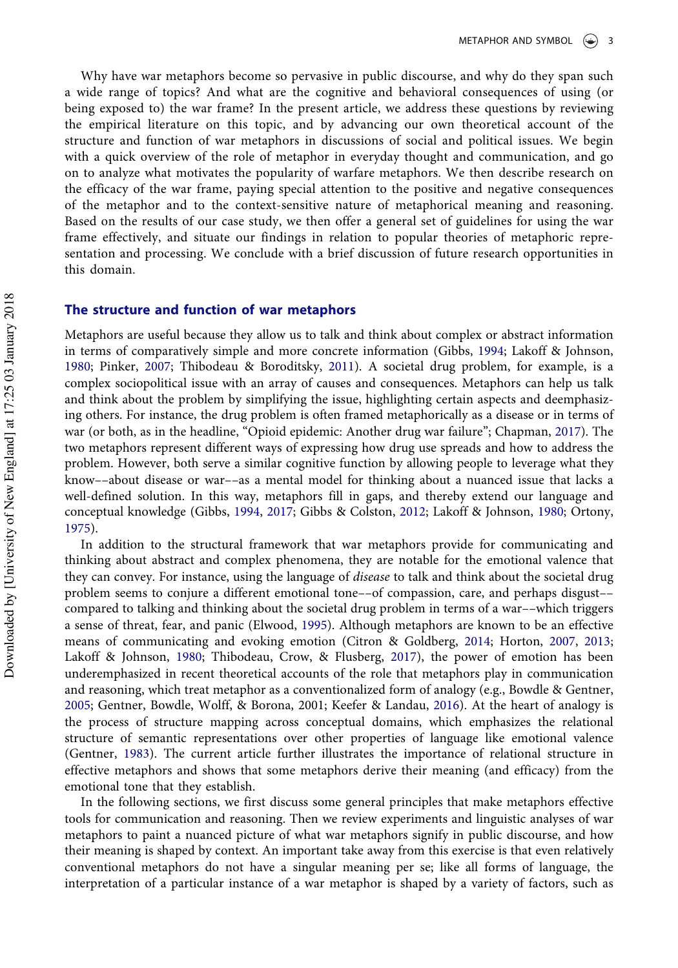Why have war metaphors become so pervasive in public discourse, and why do they span such a wide range of topics? And what are the cognitive and behavioral consequences of using (or being exposed to) the war frame? In the present article, we address these questions by reviewing the empirical literature on this topic, and by advancing our own theoretical account of the structure and function of war metaphors in discussions of social and political issues. We begin with a quick overview of the role of metaphor in everyday thought and communication, and go on to analyze what motivates the popularity of warfare metaphors. We then describe research on the efficacy of the war frame, paying special attention to the positive and negative consequences of the metaphor and to the context-sensitive nature of metaphorical meaning and reasoning. Based on the results of our case study, we then offer a general set of guidelines for using the war frame effectively, and situate our findings in relation to popular theories of metaphoric representation and processing. We conclude with a brief discussion of future research opportunities in this domain.

## The structure and function of war metaphors

Metaphors are useful because they allow us to talk and think about complex or abstract information in terms of comparatively simple and more concrete information (Gibbs, [1994](#page-14-9); Lakoff & Johnson, [1980](#page-15-6); Pinker, [2007;](#page-16-7) Thibodeau & Boroditsky, [2011](#page-16-8)). A societal drug problem, for example, is a complex sociopolitical issue with an array of causes and consequences. Metaphors can help us talk and think about the problem by simplifying the issue, highlighting certain aspects and deemphasizing others. For instance, the drug problem is often framed metaphorically as a disease or in terms of war (or both, as in the headline, "Opioid epidemic: Another drug war failure"; Chapman, [2017\)](#page-13-5). The two metaphors represent different ways of expressing how drug use spreads and how to address the problem. However, both serve a similar cognitive function by allowing people to leverage what they know––about disease or war––as a mental model for thinking about a nuanced issue that lacks a well-defined solution. In this way, metaphors fill in gaps, and thereby extend our language and conceptual knowledge (Gibbs, [1994](#page-14-9), [2017;](#page-14-4) Gibbs & Colston, [2012](#page-14-10); Lakoff & Johnson, [1980;](#page-15-6) Ortony, [1975](#page-16-9)).

In addition to the structural framework that war metaphors provide for communicating and thinking about abstract and complex phenomena, they are notable for the emotional valence that they can convey. For instance, using the language of disease to talk and think about the societal drug problem seems to conjure a different emotional tone––of compassion, care, and perhaps disgust–– compared to talking and thinking about the societal drug problem in terms of a war––which triggers a sense of threat, fear, and panic (Elwood, [1995](#page-13-6)). Although metaphors are known to be an effective means of communicating and evoking emotion (Citron & Goldberg, [2014;](#page-13-7) Horton, [2007,](#page-14-11) [2013;](#page-14-12) Lakoff & Johnson, [1980](#page-15-6); Thibodeau, Crow, & Flusberg, [2017\)](#page-16-10), the power of emotion has been underemphasized in recent theoretical accounts of the role that metaphors play in communication and reasoning, which treat metaphor as a conventionalized form of analogy (e.g., Bowdle & Gentner, [2005](#page-13-8); Gentner, Bowdle, Wolff, & Borona, 2001; Keefer & Landau, [2016](#page-15-7)). At the heart of analogy is the process of structure mapping across conceptual domains, which emphasizes the relational structure of semantic representations over other properties of language like emotional valence (Gentner, [1983](#page-13-9)). The current article further illustrates the importance of relational structure in effective metaphors and shows that some metaphors derive their meaning (and efficacy) from the emotional tone that they establish.

In the following sections, we first discuss some general principles that make metaphors effective tools for communication and reasoning. Then we review experiments and linguistic analyses of war metaphors to paint a nuanced picture of what war metaphors signify in public discourse, and how their meaning is shaped by context. An important take away from this exercise is that even relatively conventional metaphors do not have a singular meaning per se; like all forms of language, the interpretation of a particular instance of a war metaphor is shaped by a variety of factors, such as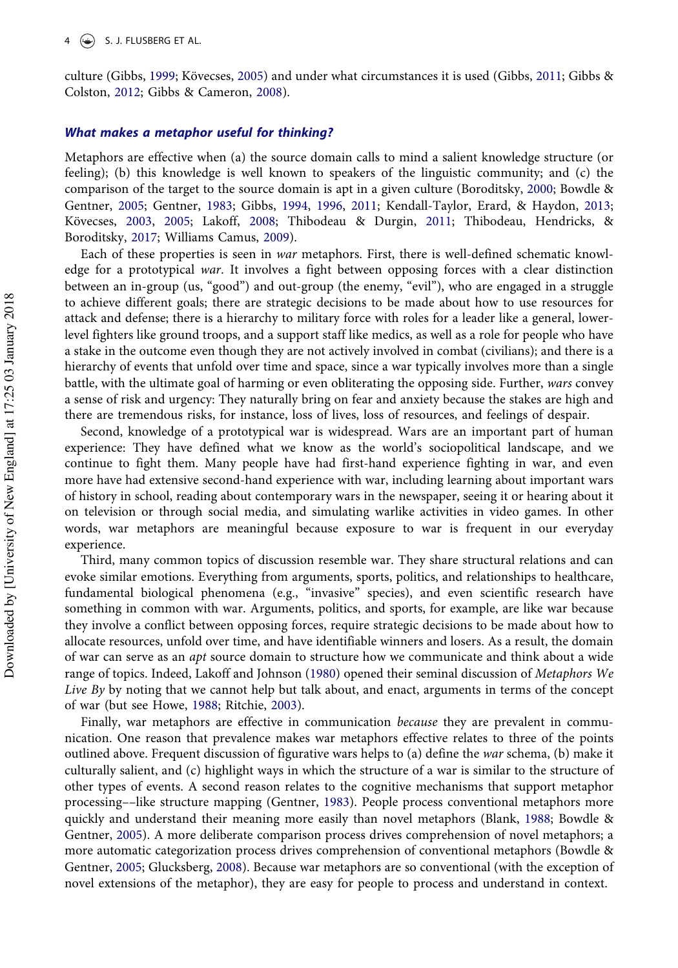culture (Gibbs, [1999](#page-14-13); Kövecses, [2005\)](#page-15-8) and under what circumstances it is used (Gibbs, [2011;](#page-14-14) Gibbs & Colston, [2012](#page-14-10); Gibbs & Cameron, [2008\)](#page-13-10).

#### What makes a metaphor useful for thinking?

Metaphors are effective when (a) the source domain calls to mind a salient knowledge structure (or feeling); (b) this knowledge is well known to speakers of the linguistic community; and (c) the comparison of the target to the source domain is apt in a given culture (Boroditsky, [2000](#page-13-11); Bowdle & Gentner, [2005](#page-13-8); Gentner, [1983;](#page-13-9) Gibbs, [1994,](#page-14-9) [1996,](#page-14-15) [2011](#page-14-14); Kendall-Taylor, Erard, & Haydon, [2013;](#page-15-9) Kövecses, [2003,](#page-15-10) [2005](#page-15-8); Lakoff, [2008;](#page-15-11) Thibodeau & Durgin, [2011;](#page-16-11) Thibodeau, Hendricks, & Boroditsky, [2017;](#page-16-12) Williams Camus, [2009](#page-17-1)).

Each of these properties is seen in war metaphors. First, there is well-defined schematic knowledge for a prototypical war. It involves a fight between opposing forces with a clear distinction between an in-group (us, "good") and out-group (the enemy, "evil"), who are engaged in a struggle to achieve different goals; there are strategic decisions to be made about how to use resources for attack and defense; there is a hierarchy to military force with roles for a leader like a general, lowerlevel fighters like ground troops, and a support staff like medics, as well as a role for people who have a stake in the outcome even though they are not actively involved in combat (civilians); and there is a hierarchy of events that unfold over time and space, since a war typically involves more than a single battle, with the ultimate goal of harming or even obliterating the opposing side. Further, wars convey a sense of risk and urgency: They naturally bring on fear and anxiety because the stakes are high and there are tremendous risks, for instance, loss of lives, loss of resources, and feelings of despair.

Second, knowledge of a prototypical war is widespread. Wars are an important part of human experience: They have defined what we know as the world's sociopolitical landscape, and we continue to fight them. Many people have had first-hand experience fighting in war, and even more have had extensive second-hand experience with war, including learning about important wars of history in school, reading about contemporary wars in the newspaper, seeing it or hearing about it on television or through social media, and simulating warlike activities in video games. In other words, war metaphors are meaningful because exposure to war is frequent in our everyday experience.

Third, many common topics of discussion resemble war. They share structural relations and can evoke similar emotions. Everything from arguments, sports, politics, and relationships to healthcare, fundamental biological phenomena (e.g., "invasive" species), and even scientific research have something in common with war. Arguments, politics, and sports, for example, are like war because they involve a conflict between opposing forces, require strategic decisions to be made about how to allocate resources, unfold over time, and have identifiable winners and losers. As a result, the domain of war can serve as an apt source domain to structure how we communicate and think about a wide range of topics. Indeed, Lakoff and Johnson [\(1980\)](#page-15-6) opened their seminal discussion of Metaphors We Live By by noting that we cannot help but talk about, and enact, arguments in terms of the concept of war (but see Howe, [1988;](#page-14-16) Ritchie, [2003\)](#page-16-13).

Finally, war metaphors are effective in communication *because* they are prevalent in communication. One reason that prevalence makes war metaphors effective relates to three of the points outlined above. Frequent discussion of figurative wars helps to (a) define the war schema, (b) make it culturally salient, and (c) highlight ways in which the structure of a war is similar to the structure of other types of events. A second reason relates to the cognitive mechanisms that support metaphor processing––like structure mapping (Gentner, [1983\)](#page-13-9). People process conventional metaphors more quickly and understand their meaning more easily than novel metaphors (Blank, [1988](#page-13-12); Bowdle & Gentner, [2005\)](#page-13-8). A more deliberate comparison process drives comprehension of novel metaphors; a more automatic categorization process drives comprehension of conventional metaphors (Bowdle & Gentner, [2005](#page-13-8); Glucksberg, [2008\)](#page-14-17). Because war metaphors are so conventional (with the exception of novel extensions of the metaphor), they are easy for people to process and understand in context.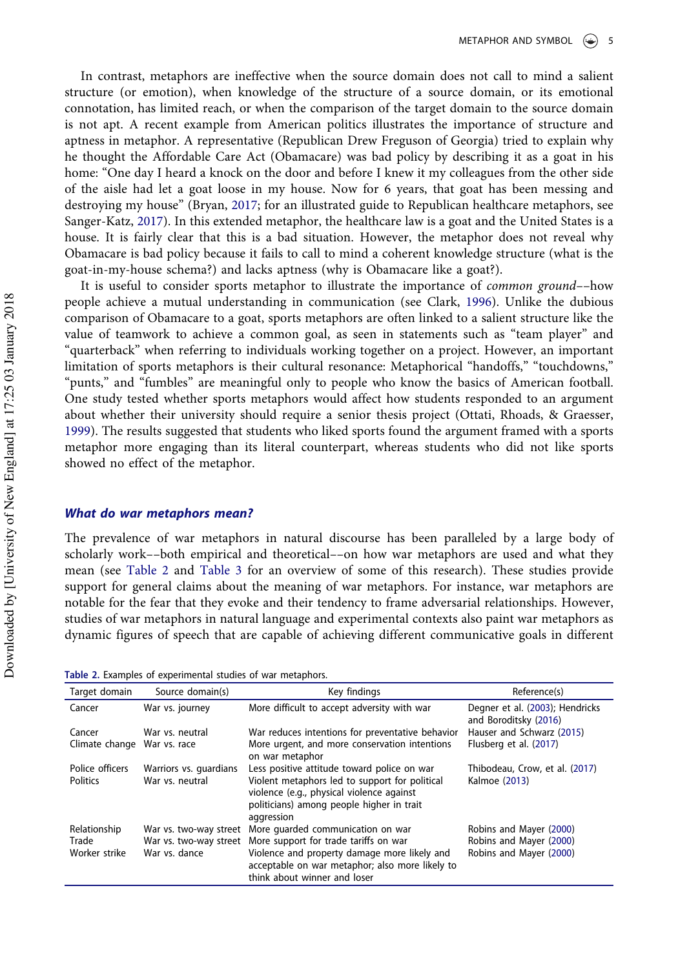In contrast, metaphors are ineffective when the source domain does not call to mind a salient structure (or emotion), when knowledge of the structure of a source domain, or its emotional connotation, has limited reach, or when the comparison of the target domain to the source domain is not apt. A recent example from American politics illustrates the importance of structure and aptness in metaphor. A representative (Republican Drew Freguson of Georgia) tried to explain why he thought the Affordable Care Act (Obamacare) was bad policy by describing it as a goat in his home: "One day I heard a knock on the door and before I knew it my colleagues from the other side of the aisle had let a goat loose in my house. Now for 6 years, that goat has been messing and destroying my house" (Bryan, [2017](#page-13-13); for an illustrated guide to Republican healthcare metaphors, see Sanger-Katz, [2017](#page-16-14)). In this extended metaphor, the healthcare law is a goat and the United States is a house. It is fairly clear that this is a bad situation. However, the metaphor does not reveal why Obamacare is bad policy because it fails to call to mind a coherent knowledge structure (what is the goat-in-my-house schema?) and lacks aptness (why is Obamacare like a goat?).

It is useful to consider sports metaphor to illustrate the importance of common ground––how people achieve a mutual understanding in communication (see Clark, [1996](#page-13-14)). Unlike the dubious comparison of Obamacare to a goat, sports metaphors are often linked to a salient structure like the value of teamwork to achieve a common goal, as seen in statements such as "team player" and "quarterback" when referring to individuals working together on a project. However, an important limitation of sports metaphors is their cultural resonance: Metaphorical "handoffs," "touchdowns," "punts," and "fumbles" are meaningful only to people who know the basics of American football. One study tested whether sports metaphors would affect how students responded to an argument about whether their university should require a senior thesis project (Ottati, Rhoads, & Graesser, [1999](#page-16-15)). The results suggested that students who liked sports found the argument framed with a sports metaphor more engaging than its literal counterpart, whereas students who did not like sports showed no effect of the metaphor.

## What do war metaphors mean?

The prevalence of war metaphors in natural discourse has been paralleled by a large body of scholarly work––both empirical and theoretical––on how war metaphors are used and what they mean (see [Table 2](#page-4-0) and [Table 3](#page-5-0) for an overview of some of this research). These studies provide support for general claims about the meaning of war metaphors. For instance, war metaphors are notable for the fear that they evoke and their tendency to frame adversarial relationships. However, studies of war metaphors in natural language and experimental contexts also paint war metaphors as dynamic figures of speech that are capable of achieving different communicative goals in different

<span id="page-4-0"></span>

|  |  |  | Table 2. Examples of experimental studies of war metaphors. |  |  |  |  |
|--|--|--|-------------------------------------------------------------|--|--|--|--|
|--|--|--|-------------------------------------------------------------|--|--|--|--|

| Target domain   | Source domain(s)       | Key findings                                                                                                                                           | Reference(s)                                             |
|-----------------|------------------------|--------------------------------------------------------------------------------------------------------------------------------------------------------|----------------------------------------------------------|
| Cancer          | War vs. journey        | More difficult to accept adversity with war                                                                                                            | Degner et al. (2003); Hendricks<br>and Boroditsky (2016) |
| Cancer          | War vs. neutral        | War reduces intentions for preventative behavior                                                                                                       | Hauser and Schwarz (2015)                                |
| Climate change  | War vs. race           | More urgent, and more conservation intentions<br>on war metaphor                                                                                       | Flusberg et al. (2017)                                   |
| Police officers | Warriors vs. quardians | Less positive attitude toward police on war                                                                                                            | Thibodeau, Crow, et al. (2017)                           |
| Politics        | War vs. neutral        | Violent metaphors led to support for political<br>violence (e.g., physical violence against<br>politicians) among people higher in trait<br>aggression | Kalmoe (2013)                                            |
| Relationship    | War vs. two-way street | More quarded communication on war                                                                                                                      | Robins and Mayer (2000)                                  |
| Trade           | War vs. two-way street | More support for trade tariffs on war                                                                                                                  | Robins and Mayer (2000)                                  |
| Worker strike   | War vs. dance          | Violence and property damage more likely and<br>acceptable on war metaphor; also more likely to<br>think about winner and loser                        | Robins and Mayer (2000)                                  |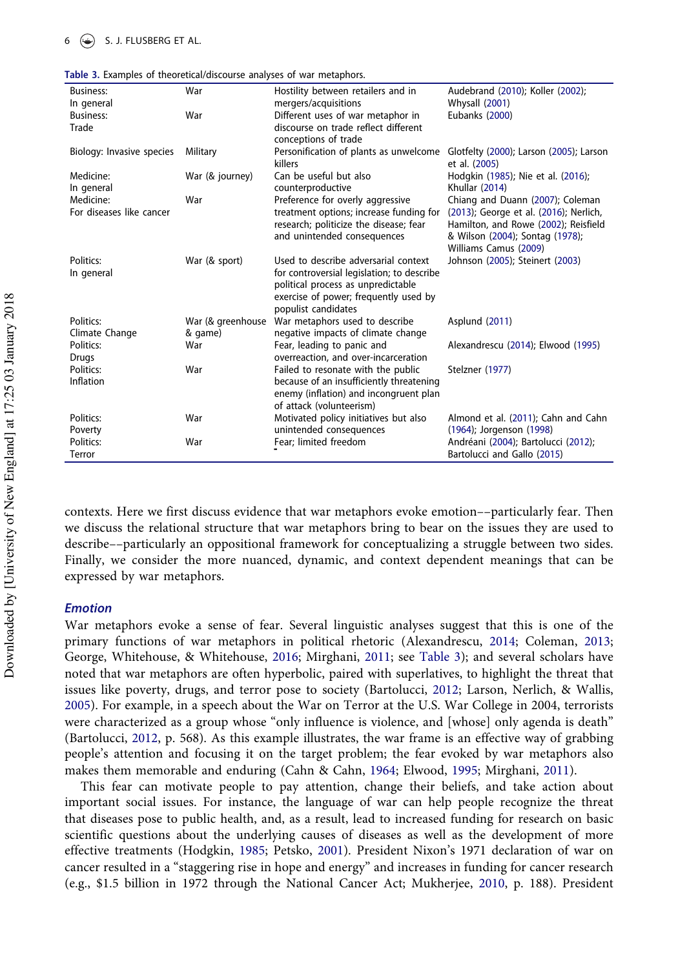<span id="page-5-0"></span>

| Table 3. Examples of theoretical/discourse analyses of war metaphors. |  |  |  |
|-----------------------------------------------------------------------|--|--|--|

 $6 \leftrightarrow$  S. J. FLUSBERG ET AL.

| <b>Business:</b>          | War               | Hostility between retailers and in                                | Audebrand (2010); Koller (2002);        |
|---------------------------|-------------------|-------------------------------------------------------------------|-----------------------------------------|
| In general                |                   | mergers/acquisitions                                              | Whysall (2001)                          |
| <b>Business:</b>          | War               | Different uses of war metaphor in                                 | Eubanks (2000)                          |
| Trade                     |                   | discourse on trade reflect different                              |                                         |
|                           |                   | conceptions of trade                                              |                                         |
| Biology: Invasive species | Military          | Personification of plants as unwelcome                            | Glotfelty (2000); Larson (2005); Larson |
|                           |                   | killers                                                           | et al. (2005)                           |
| Medicine:                 | War (& journey)   | Can be useful but also                                            | Hodgkin (1985); Nie et al. (2016);      |
| In general                |                   | counterproductive                                                 | Khullar (2014)                          |
| Medicine:                 | War               | Preference for overly aggressive                                  | Chiang and Duann (2007); Coleman        |
| For diseases like cancer  |                   | treatment options; increase funding for                           | (2013); George et al. (2016); Nerlich,  |
|                           |                   | research; politicize the disease; fear                            | Hamilton, and Rowe (2002); Reisfield    |
|                           |                   | and unintended consequences                                       | & Wilson (2004); Sontag (1978);         |
|                           |                   |                                                                   | Williams Camus (2009)                   |
| Politics:                 | War (& sport)     | Used to describe adversarial context                              | Johnson (2005); Steinert (2003)         |
| In general                |                   | for controversial legislation; to describe                        |                                         |
|                           |                   | political process as unpredictable                                |                                         |
|                           |                   | exercise of power; frequently used by                             |                                         |
|                           |                   | populist candidates                                               |                                         |
| Politics:                 | War (& greenhouse | War metaphors used to describe                                    | Asplund (2011)                          |
| Climate Change            | & game)           | negative impacts of climate change                                |                                         |
| Politics:                 | War               | Fear, leading to panic and                                        | Alexandrescu (2014); Elwood (1995)      |
| Drugs                     |                   | overreaction, and over-incarceration                              |                                         |
| Politics:                 | War               | Failed to resonate with the public                                | Stelzner (1977)                         |
| Inflation                 |                   | because of an insufficiently threatening                          |                                         |
|                           |                   | enemy (inflation) and incongruent plan                            |                                         |
| Politics:                 | War               | of attack (volunteerism)<br>Motivated policy initiatives but also | Almond et al. (2011); Cahn and Cahn     |
| Poverty                   |                   | unintended consequences                                           | (1964); Jorgenson (1998)                |
| Politics:                 | War               | Fear; limited freedom                                             | Andréani (2004); Bartolucci (2012);     |
| Terror                    |                   |                                                                   | Bartolucci and Gallo (2015)             |
|                           |                   |                                                                   |                                         |

contexts. Here we first discuss evidence that war metaphors evoke emotion––particularly fear. Then we discuss the relational structure that war metaphors bring to bear on the issues they are used to describe––particularly an oppositional framework for conceptualizing a struggle between two sides. Finally, we consider the more nuanced, dynamic, and context dependent meanings that can be expressed by war metaphors.

#### Emotion

War metaphors evoke a sense of fear. Several linguistic analyses suggest that this is one of the primary functions of war metaphors in political rhetoric (Alexandrescu, [2014](#page-12-0); Coleman, [2013;](#page-13-1) George, Whitehouse, & Whitehouse, [2016;](#page-13-17) Mirghani, [2011](#page-15-13); see [Table 3](#page-5-0)); and several scholars have noted that war metaphors are often hyperbolic, paired with superlatives, to highlight the threat that issues like poverty, drugs, and terror pose to society (Bartolucci, [2012;](#page-12-1) Larson, Nerlich, & Wallis, [2005](#page-15-14)). For example, in a speech about the War on Terror at the U.S. War College in 2004, terrorists were characterized as a group whose "only influence is violence, and [whose] only agenda is death" (Bartolucci, [2012](#page-12-1), p. 568). As this example illustrates, the war frame is an effective way of grabbing people's attention and focusing it on the target problem; the fear evoked by war metaphors also makes them memorable and enduring (Cahn & Cahn, [1964](#page-13-18); Elwood, [1995](#page-13-6); Mirghani, [2011](#page-15-13)).

This fear can motivate people to pay attention, change their beliefs, and take action about important social issues. For instance, the language of war can help people recognize the threat that diseases pose to public health, and, as a result, lead to increased funding for research on basic scientific questions about the underlying causes of diseases as well as the development of more effective treatments (Hodgkin, [1985](#page-14-20); Petsko, [2001](#page-16-17)). President Nixon's 1971 declaration of war on cancer resulted in a "staggering rise in hope and energy" and increases in funding for cancer research (e.g., \$1.5 billion in 1972 through the National Cancer Act; Mukherjee, [2010](#page-15-15), p. 188). President

Downloaded by [University of New England] at 17:25 03 January 2018 Downloaded by [University of New England] at 17:25 03 January 2018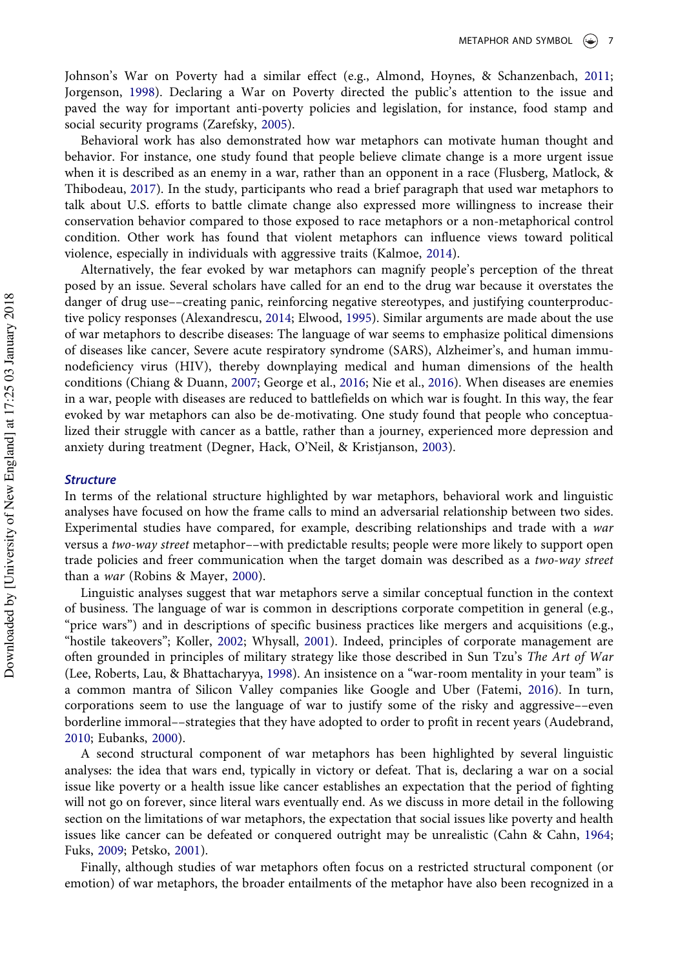Johnson's War on Poverty had a similar effect (e.g., Almond, Hoynes, & Schanzenbach, [2011;](#page-12-4) Jorgenson, [1998](#page-14-23)). Declaring a War on Poverty directed the public's attention to the issue and paved the way for important anti-poverty policies and legislation, for instance, food stamp and social security programs (Zarefsky, [2005\)](#page-17-3).

Behavioral work has also demonstrated how war metaphors can motivate human thought and behavior. For instance, one study found that people believe climate change is a more urgent issue when it is described as an enemy in a war, rather than an opponent in a race (Flusberg, Matlock, & Thibodeau, [2017](#page-13-16)). In the study, participants who read a brief paragraph that used war metaphors to talk about U.S. efforts to battle climate change also expressed more willingness to increase their conservation behavior compared to those exposed to race metaphors or a non-metaphorical control condition. Other work has found that violent metaphors can influence views toward political violence, especially in individuals with aggressive traits (Kalmoe, [2014](#page-15-20)).

Alternatively, the fear evoked by war metaphors can magnify people's perception of the threat posed by an issue. Several scholars have called for an end to the drug war because it overstates the danger of drug use––creating panic, reinforcing negative stereotypes, and justifying counterproductive policy responses (Alexandrescu, [2014;](#page-12-0) Elwood, [1995](#page-13-6)). Similar arguments are made about the use of war metaphors to describe diseases: The language of war seems to emphasize political dimensions of diseases like cancer, Severe acute respiratory syndrome (SARS), Alzheimer's, and human immunodeficiency virus (HIV), thereby downplaying medical and human dimensions of the health conditions (Chiang & Duann, [2007](#page-13-20); George et al., [2016;](#page-13-17) Nie et al., [2016](#page-15-17)). When diseases are enemies in a war, people with diseases are reduced to battlefields on which war is fought. In this way, the fear evoked by war metaphors can also be de-motivating. One study found that people who conceptualized their struggle with cancer as a battle, rather than a journey, experienced more depression and anxiety during treatment (Degner, Hack, O'Neil, & Kristjanson, [2003](#page-13-15)).

#### **Structure**

In terms of the relational structure highlighted by war metaphors, behavioral work and linguistic analyses have focused on how the frame calls to mind an adversarial relationship between two sides. Experimental studies have compared, for example, describing relationships and trade with a war versus a two-way street metaphor––with predictable results; people were more likely to support open trade policies and freer communication when the target domain was described as a two-way street than a war (Robins & Mayer, [2000\)](#page-16-16).

Linguistic analyses suggest that war metaphors serve a similar conceptual function in the context of business. The language of war is common in descriptions corporate competition in general (e.g., "price wars") and in descriptions of specific business practices like mergers and acquisitions (e.g., "hostile takeovers"; Koller, [2002;](#page-15-16) Whysall, [2001](#page-17-2)). Indeed, principles of corporate management are often grounded in principles of military strategy like those described in Sun Tzu's The Art of War (Lee, Roberts, Lau, & Bhattacharyya, [1998](#page-15-21)). An insistence on a "war-room mentality in your team" is a common mantra of Silicon Valley companies like Google and Uber (Fatemi, [2016\)](#page-13-21). In turn, corporations seem to use the language of war to justify some of the risky and aggressive––even borderline immoral––strategies that they have adopted to order to profit in recent years (Audebrand, [2010](#page-12-2); Eubanks, [2000](#page-13-19)).

A second structural component of war metaphors has been highlighted by several linguistic analyses: the idea that wars end, typically in victory or defeat. That is, declaring a war on a social issue like poverty or a health issue like cancer establishes an expectation that the period of fighting will not go on forever, since literal wars eventually end. As we discuss in more detail in the following section on the limitations of war metaphors, the expectation that social issues like poverty and health issues like cancer can be defeated or conquered outright may be unrealistic (Cahn & Cahn, [1964;](#page-13-18) Fuks, [2009](#page-13-22); Petsko, [2001](#page-16-17)).

Finally, although studies of war metaphors often focus on a restricted structural component (or emotion) of war metaphors, the broader entailments of the metaphor have also been recognized in a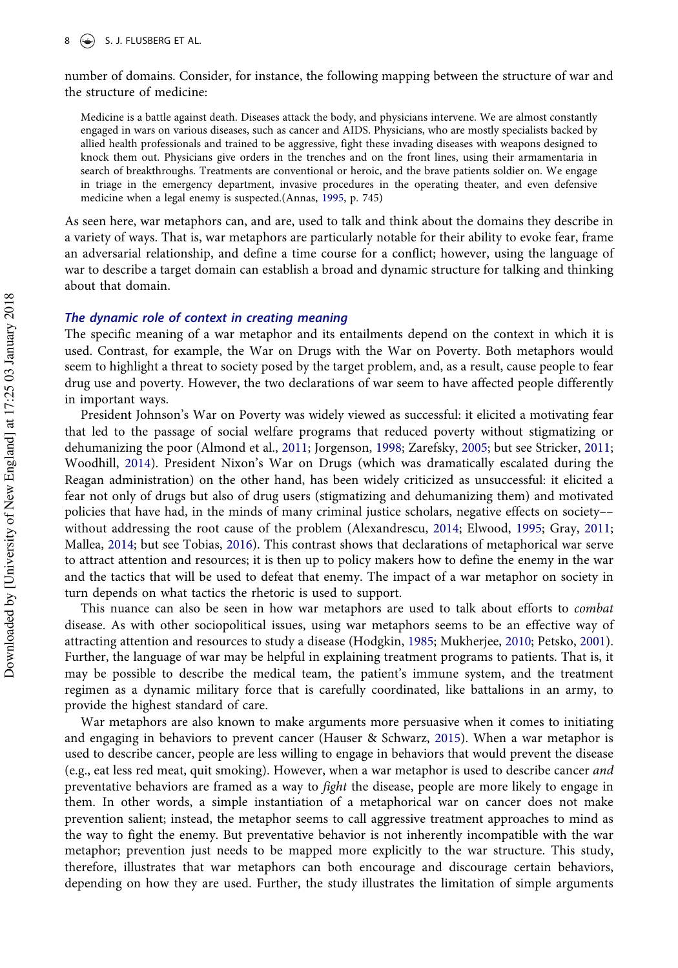number of domains. Consider, for instance, the following mapping between the structure of war and the structure of medicine:

Medicine is a battle against death. Diseases attack the body, and physicians intervene. We are almost constantly engaged in wars on various diseases, such as cancer and AIDS. Physicians, who are mostly specialists backed by allied health professionals and trained to be aggressive, fight these invading diseases with weapons designed to knock them out. Physicians give orders in the trenches and on the front lines, using their armamentaria in search of breakthroughs. Treatments are conventional or heroic, and the brave patients soldier on. We engage in triage in the emergency department, invasive procedures in the operating theater, and even defensive medicine when a legal enemy is suspected.(Annas, [1995,](#page-12-7) p. 745)

As seen here, war metaphors can, and are, used to talk and think about the domains they describe in a variety of ways. That is, war metaphors are particularly notable for their ability to evoke fear, frame an adversarial relationship, and define a time course for a conflict; however, using the language of war to describe a target domain can establish a broad and dynamic structure for talking and thinking about that domain.

## The dynamic role of context in creating meaning

The specific meaning of a war metaphor and its entailments depend on the context in which it is used. Contrast, for example, the War on Drugs with the War on Poverty. Both metaphors would seem to highlight a threat to society posed by the target problem, and, as a result, cause people to fear drug use and poverty. However, the two declarations of war seem to have affected people differently in important ways.

President Johnson's War on Poverty was widely viewed as successful: it elicited a motivating fear that led to the passage of social welfare programs that reduced poverty without stigmatizing or dehumanizing the poor (Almond et al., [2011;](#page-12-4) Jorgenson, [1998;](#page-14-23) Zarefsky, [2005](#page-17-3); but see Stricker, [2011;](#page-16-21) Woodhill, [2014](#page-17-4)). President Nixon's War on Drugs (which was dramatically escalated during the Reagan administration) on the other hand, has been widely criticized as unsuccessful: it elicited a fear not only of drugs but also of drug users (stigmatizing and dehumanizing them) and motivated policies that have had, in the minds of many criminal justice scholars, negative effects on society–– without addressing the root cause of the problem (Alexandrescu, [2014](#page-12-0); Elwood, [1995;](#page-13-6) Gray, [2011;](#page-14-24) Mallea, [2014](#page-15-22); but see Tobias, [2016\)](#page-16-22). This contrast shows that declarations of metaphorical war serve to attract attention and resources; it is then up to policy makers how to define the enemy in the war and the tactics that will be used to defeat that enemy. The impact of a war metaphor on society in turn depends on what tactics the rhetoric is used to support.

This nuance can also be seen in how war metaphors are used to talk about efforts to combat disease. As with other sociopolitical issues, using war metaphors seems to be an effective way of attracting attention and resources to study a disease (Hodgkin, [1985](#page-14-20); Mukherjee, [2010;](#page-15-15) Petsko, [2001](#page-16-17)). Further, the language of war may be helpful in explaining treatment programs to patients. That is, it may be possible to describe the medical team, the patient's immune system, and the treatment regimen as a dynamic military force that is carefully coordinated, like battalions in an army, to provide the highest standard of care.

War metaphors are also known to make arguments more persuasive when it comes to initiating and engaging in behaviors to prevent cancer (Hauser & Schwarz, [2015](#page-14-19)). When a war metaphor is used to describe cancer, people are less willing to engage in behaviors that would prevent the disease (e.g., eat less red meat, quit smoking). However, when a war metaphor is used to describe cancer and preventative behaviors are framed as a way to fight the disease, people are more likely to engage in them. In other words, a simple instantiation of a metaphorical war on cancer does not make prevention salient; instead, the metaphor seems to call aggressive treatment approaches to mind as the way to fight the enemy. But preventative behavior is not inherently incompatible with the war metaphor; prevention just needs to be mapped more explicitly to the war structure. This study, therefore, illustrates that war metaphors can both encourage and discourage certain behaviors, depending on how they are used. Further, the study illustrates the limitation of simple arguments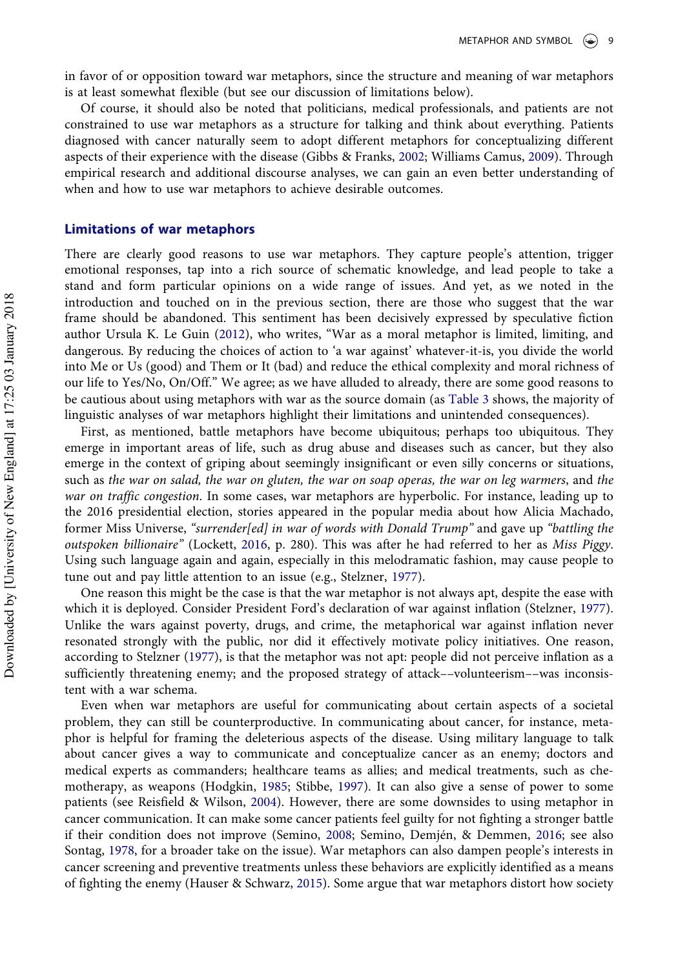in favor of or opposition toward war metaphors, since the structure and meaning of war metaphors is at least somewhat flexible (but see our discussion of limitations below).

Of course, it should also be noted that politicians, medical professionals, and patients are not constrained to use war metaphors as a structure for talking and think about everything. Patients diagnosed with cancer naturally seem to adopt different metaphors for conceptualizing different aspects of their experience with the disease (Gibbs & Franks, [2002](#page-14-25); Williams Camus, [2009\)](#page-17-1). Through empirical research and additional discourse analyses, we can gain an even better understanding of when and how to use war metaphors to achieve desirable outcomes.

## Limitations of war metaphors

There are clearly good reasons to use war metaphors. They capture people's attention, trigger emotional responses, tap into a rich source of schematic knowledge, and lead people to take a stand and form particular opinions on a wide range of issues. And yet, as we noted in the introduction and touched on in the previous section, there are those who suggest that the war frame should be abandoned. This sentiment has been decisively expressed by speculative fiction author Ursula K. Le Guin ([2012](#page-15-23)), who writes, "War as a moral metaphor is limited, limiting, and dangerous. By reducing the choices of action to 'a war against' whatever-it-is, you divide the world into Me or Us (good) and Them or It (bad) and reduce the ethical complexity and moral richness of our life to Yes/No, On/Off." We agree; as we have alluded to already, there are some good reasons to be cautious about using metaphors with war as the source domain (as [Table 3](#page-5-0) shows, the majority of linguistic analyses of war metaphors highlight their limitations and unintended consequences).

First, as mentioned, battle metaphors have become ubiquitous; perhaps too ubiquitous. They emerge in important areas of life, such as drug abuse and diseases such as cancer, but they also emerge in the context of griping about seemingly insignificant or even silly concerns or situations, such as the war on salad, the war on gluten, the war on soap operas, the war on leg warmers, and the war on traffic congestion. In some cases, war metaphors are hyperbolic. For instance, leading up to the 2016 presidential election, stories appeared in the popular media about how Alicia Machado, former Miss Universe, "surrender[ed] in war of words with Donald Trump" and gave up "battling the outspoken billionaire" (Lockett, [2016,](#page-15-24) p. 280). This was after he had referred to her as Miss Piggy. Using such language again and again, especially in this melodramatic fashion, may cause people to tune out and pay little attention to an issue (e.g., Stelzner, [1977](#page-16-1)).

One reason this might be the case is that the war metaphor is not always apt, despite the ease with which it is deployed. Consider President Ford's declaration of war against inflation (Stelzner, [1977](#page-16-1)). Unlike the wars against poverty, drugs, and crime, the metaphorical war against inflation never resonated strongly with the public, nor did it effectively motivate policy initiatives. One reason, according to Stelzner [\(1977](#page-16-1)), is that the metaphor was not apt: people did not perceive inflation as a sufficiently threatening enemy; and the proposed strategy of attack––volunteerism––was inconsistent with a war schema.

Even when war metaphors are useful for communicating about certain aspects of a societal problem, they can still be counterproductive. In communicating about cancer, for instance, metaphor is helpful for framing the deleterious aspects of the disease. Using military language to talk about cancer gives a way to communicate and conceptualize cancer as an enemy; doctors and medical experts as commanders; healthcare teams as allies; and medical treatments, such as chemotherapy, as weapons (Hodgkin, [1985;](#page-14-20) Stibbe, [1997](#page-16-23)). It can also give a sense of power to some patients (see Reisfield & Wilson, [2004\)](#page-16-18). However, there are some downsides to using metaphor in cancer communication. It can make some cancer patients feel guilty for not fighting a stronger battle if their condition does not improve (Semino, [2008;](#page-16-24) Semino, Demjén, & Demmen, [2016;](#page-16-25) see also Sontag, [1978,](#page-16-19) for a broader take on the issue). War metaphors can also dampen people's interests in cancer screening and preventive treatments unless these behaviors are explicitly identified as a means of fighting the enemy (Hauser & Schwarz, [2015\)](#page-14-19). Some argue that war metaphors distort how society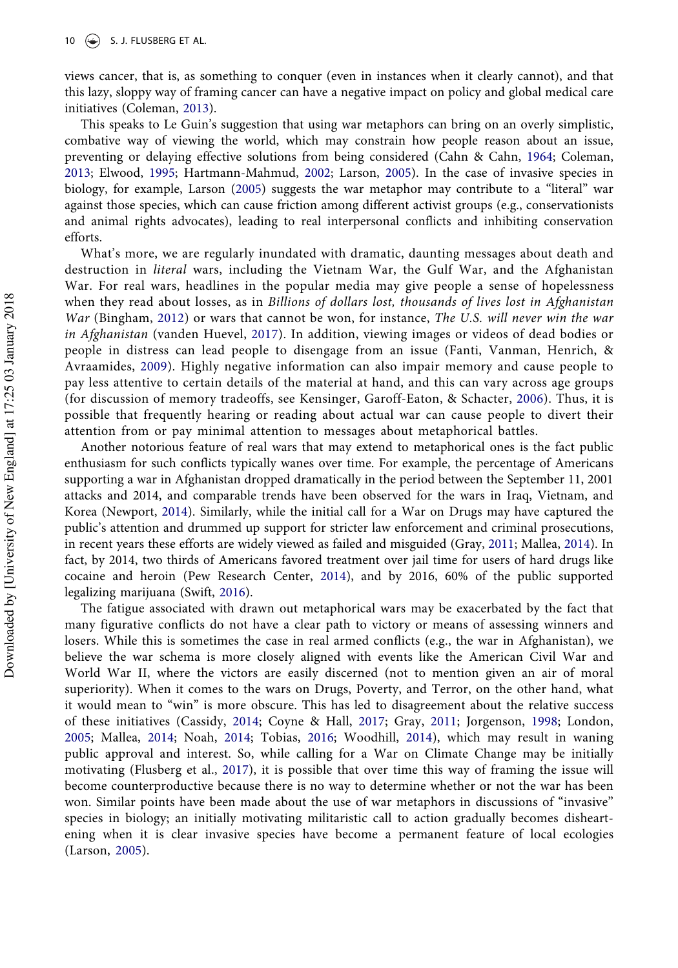views cancer, that is, as something to conquer (even in instances when it clearly cannot), and that this lazy, sloppy way of framing cancer can have a negative impact on policy and global medical care initiatives (Coleman, [2013](#page-13-1)).

This speaks to Le Guin's suggestion that using war metaphors can bring on an overly simplistic, combative way of viewing the world, which may constrain how people reason about an issue, preventing or delaying effective solutions from being considered (Cahn & Cahn, [1964;](#page-13-18) Coleman, [2013](#page-13-1); Elwood, [1995](#page-13-6); Hartmann-Mahmud, [2002;](#page-14-5) Larson, [2005\)](#page-15-3). In the case of invasive species in biology, for example, Larson [\(2005](#page-15-3)) suggests the war metaphor may contribute to a "literal" war against those species, which can cause friction among different activist groups (e.g., conservationists and animal rights advocates), leading to real interpersonal conflicts and inhibiting conservation efforts.

What's more, we are regularly inundated with dramatic, daunting messages about death and destruction in literal wars, including the Vietnam War, the Gulf War, and the Afghanistan War. For real wars, headlines in the popular media may give people a sense of hopelessness when they read about losses, as in Billions of dollars lost, thousands of lives lost in Afghanistan War (Bingham, [2012](#page-13-23)) or wars that cannot be won, for instance, The U.S. will never win the war in Afghanistan (vanden Huevel, [2017\)](#page-17-5). In addition, viewing images or videos of dead bodies or people in distress can lead people to disengage from an issue (Fanti, Vanman, Henrich, & Avraamides, [2009](#page-13-24)). Highly negative information can also impair memory and cause people to pay less attentive to certain details of the material at hand, and this can vary across age groups (for discussion of memory tradeoffs, see Kensinger, Garoff-Eaton, & Schacter, [2006](#page-15-25)). Thus, it is possible that frequently hearing or reading about actual war can cause people to divert their attention from or pay minimal attention to messages about metaphorical battles.

Another notorious feature of real wars that may extend to metaphorical ones is the fact public enthusiasm for such conflicts typically wanes over time. For example, the percentage of Americans supporting a war in Afghanistan dropped dramatically in the period between the September 11, 2001 attacks and 2014, and comparable trends have been observed for the wars in Iraq, Vietnam, and Korea (Newport, [2014\)](#page-15-26). Similarly, while the initial call for a War on Drugs may have captured the public's attention and drummed up support for stricter law enforcement and criminal prosecutions, in recent years these efforts are widely viewed as failed and misguided (Gray, [2011](#page-14-24); Mallea, [2014\)](#page-15-22). In fact, by 2014, two thirds of Americans favored treatment over jail time for users of hard drugs like cocaine and heroin (Pew Research Center, [2014](#page-16-26)), and by 2016, 60% of the public supported legalizing marijuana (Swift, [2016](#page-16-27)).

The fatigue associated with drawn out metaphorical wars may be exacerbated by the fact that many figurative conflicts do not have a clear path to victory or means of assessing winners and losers. While this is sometimes the case in real armed conflicts (e.g., the war in Afghanistan), we believe the war schema is more closely aligned with events like the American Civil War and World War II, where the victors are easily discerned (not to mention given an air of moral superiority). When it comes to the wars on Drugs, Poverty, and Terror, on the other hand, what it would mean to "win" is more obscure. This has led to disagreement about the relative success of these initiatives (Cassidy, [2014](#page-13-25); Coyne & Hall, [2017](#page-13-26); Gray, [2011;](#page-14-24) Jorgenson, [1998;](#page-14-23) London, [2005;](#page-15-27) Mallea, [2014](#page-15-22); Noah, [2014](#page-15-28); Tobias, [2016](#page-16-22); Woodhill, [2014](#page-17-4)), which may result in waning public approval and interest. So, while calling for a War on Climate Change may be initially motivating (Flusberg et al., [2017\)](#page-13-16), it is possible that over time this way of framing the issue will become counterproductive because there is no way to determine whether or not the war has been won. Similar points have been made about the use of war metaphors in discussions of "invasive" species in biology; an initially motivating militaristic call to action gradually becomes disheartening when it is clear invasive species have become a permanent feature of local ecologies (Larson, [2005](#page-15-3)).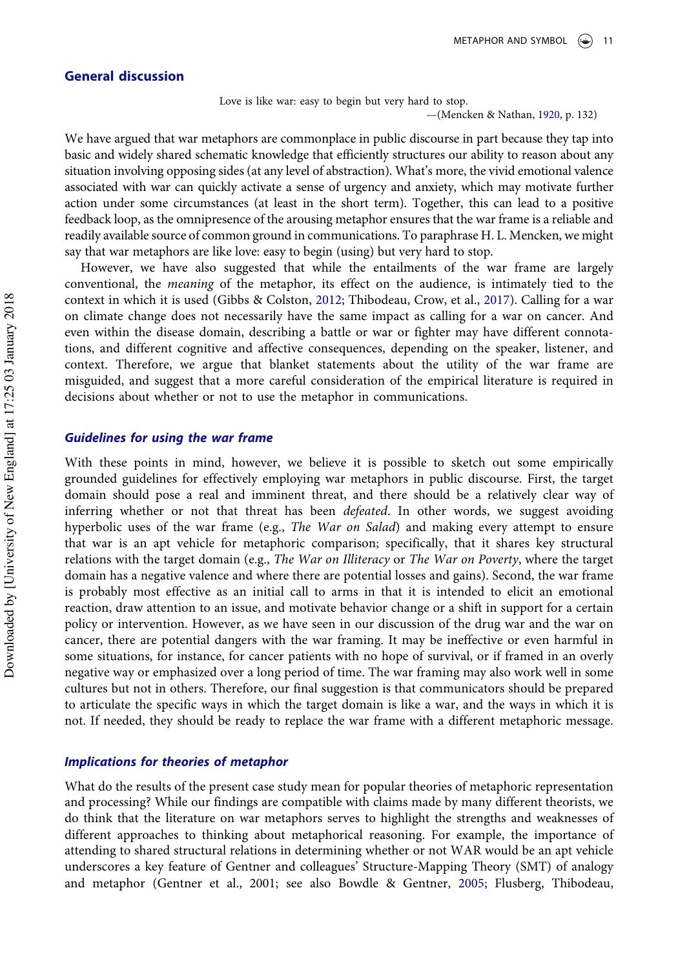# General discussion

Love is like war: easy to begin but very hard to stop.

—(Mencken & Nathan, [1920](#page-15-29), p. 132)

We have argued that war metaphors are commonplace in public discourse in part because they tap into basic and widely shared schematic knowledge that efficiently structures our ability to reason about any situation involving opposing sides (at any level of abstraction). What's more, the vivid emotional valence associated with war can quickly activate a sense of urgency and anxiety, which may motivate further action under some circumstances (at least in the short term). Together, this can lead to a positive feedback loop, as the omnipresence of the arousing metaphor ensures that the war frame is a reliable and readily available source of common ground in communications. To paraphrase H. L. Mencken, we might say that war metaphors are like love: easy to begin (using) but very hard to stop.

However, we have also suggested that while the entailments of the war frame are largely conventional, the meaning of the metaphor, its effect on the audience, is intimately tied to the context in which it is used (Gibbs & Colston, [2012;](#page-14-10) Thibodeau, Crow, et al., [2017\)](#page-16-10). Calling for a war on climate change does not necessarily have the same impact as calling for a war on cancer. And even within the disease domain, describing a battle or war or fighter may have different connotations, and different cognitive and affective consequences, depending on the speaker, listener, and context. Therefore, we argue that blanket statements about the utility of the war frame are misguided, and suggest that a more careful consideration of the empirical literature is required in decisions about whether or not to use the metaphor in communications.

#### Guidelines for using the war frame

With these points in mind, however, we believe it is possible to sketch out some empirically grounded guidelines for effectively employing war metaphors in public discourse. First, the target domain should pose a real and imminent threat, and there should be a relatively clear way of inferring whether or not that threat has been *defeated*. In other words, we suggest avoiding hyperbolic uses of the war frame (e.g., The War on Salad) and making every attempt to ensure that war is an apt vehicle for metaphoric comparison; specifically, that it shares key structural relations with the target domain (e.g., The War on Illiteracy or The War on Poverty, where the target domain has a negative valence and where there are potential losses and gains). Second, the war frame is probably most effective as an initial call to arms in that it is intended to elicit an emotional reaction, draw attention to an issue, and motivate behavior change or a shift in support for a certain policy or intervention. However, as we have seen in our discussion of the drug war and the war on cancer, there are potential dangers with the war framing. It may be ineffective or even harmful in some situations, for instance, for cancer patients with no hope of survival, or if framed in an overly negative way or emphasized over a long period of time. The war framing may also work well in some cultures but not in others. Therefore, our final suggestion is that communicators should be prepared to articulate the specific ways in which the target domain is like a war, and the ways in which it is not. If needed, they should be ready to replace the war frame with a different metaphoric message.

## Implications for theories of metaphor

What do the results of the present case study mean for popular theories of metaphoric representation and processing? While our findings are compatible with claims made by many different theorists, we do think that the literature on war metaphors serves to highlight the strengths and weaknesses of different approaches to thinking about metaphorical reasoning. For example, the importance of attending to shared structural relations in determining whether or not WAR would be an apt vehicle underscores a key feature of Gentner and colleagues' Structure-Mapping Theory (SMT) of analogy and metaphor (Gentner et al., 2001; see also Bowdle & Gentner, [2005](#page-13-8); Flusberg, Thibodeau,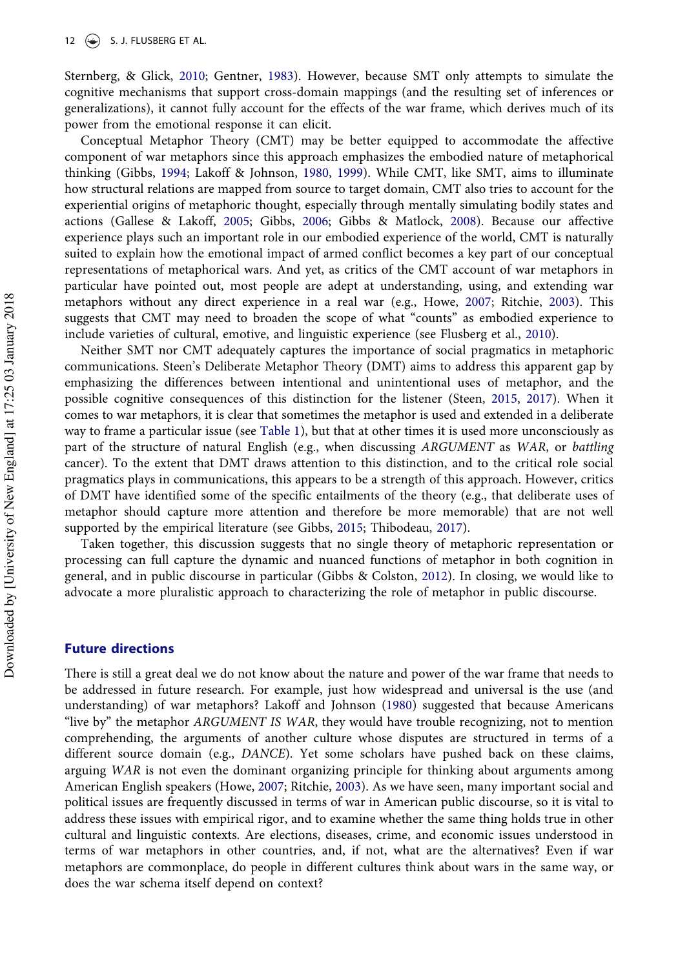Sternberg, & Glick, [2010](#page-13-27); Gentner, [1983](#page-13-9)). However, because SMT only attempts to simulate the cognitive mechanisms that support cross-domain mappings (and the resulting set of inferences or generalizations), it cannot fully account for the effects of the war frame, which derives much of its power from the emotional response it can elicit.

Conceptual Metaphor Theory (CMT) may be better equipped to accommodate the affective component of war metaphors since this approach emphasizes the embodied nature of metaphorical thinking (Gibbs, [1994;](#page-14-9) Lakoff & Johnson, [1980](#page-15-6), [1999\)](#page-15-30). While CMT, like SMT, aims to illuminate how structural relations are mapped from source to target domain, CMT also tries to account for the experiential origins of metaphoric thought, especially through mentally simulating bodily states and actions (Gallese & Lakoff, [2005](#page-13-28); Gibbs, [2006](#page-14-26); Gibbs & Matlock, [2008](#page-14-27)). Because our affective experience plays such an important role in our embodied experience of the world, CMT is naturally suited to explain how the emotional impact of armed conflict becomes a key part of our conceptual representations of metaphorical wars. And yet, as critics of the CMT account of war metaphors in particular have pointed out, most people are adept at understanding, using, and extending war metaphors without any direct experience in a real war (e.g., Howe, [2007](#page-14-28); Ritchie, [2003](#page-16-13)). This suggests that CMT may need to broaden the scope of what "counts" as embodied experience to include varieties of cultural, emotive, and linguistic experience (see Flusberg et al., [2010\)](#page-13-27).

Neither SMT nor CMT adequately captures the importance of social pragmatics in metaphoric communications. Steen's Deliberate Metaphor Theory (DMT) aims to address this apparent gap by emphasizing the differences between intentional and unintentional uses of metaphor, and the possible cognitive consequences of this distinction for the listener (Steen, [2015,](#page-16-28) [2017\)](#page-16-29). When it comes to war metaphors, it is clear that sometimes the metaphor is used and extended in a deliberate way to frame a particular issue (see [Table 1](#page-1-0)), but that at other times it is used more unconsciously as part of the structure of natural English (e.g., when discussing ARGUMENT as WAR, or battling cancer). To the extent that DMT draws attention to this distinction, and to the critical role social pragmatics plays in communications, this appears to be a strength of this approach. However, critics of DMT have identified some of the specific entailments of the theory (e.g., that deliberate uses of metaphor should capture more attention and therefore be more memorable) that are not well supported by the empirical literature (see Gibbs, [2015;](#page-14-29) Thibodeau, [2017\)](#page-16-30).

Taken together, this discussion suggests that no single theory of metaphoric representation or processing can full capture the dynamic and nuanced functions of metaphor in both cognition in general, and in public discourse in particular (Gibbs & Colston, [2012\)](#page-14-10). In closing, we would like to advocate a more pluralistic approach to characterizing the role of metaphor in public discourse.

## Future directions

There is still a great deal we do not know about the nature and power of the war frame that needs to be addressed in future research. For example, just how widespread and universal is the use (and understanding) of war metaphors? Lakoff and Johnson [\(1980](#page-15-6)) suggested that because Americans "live by" the metaphor ARGUMENT IS WAR, they would have trouble recognizing, not to mention comprehending, the arguments of another culture whose disputes are structured in terms of a different source domain (e.g., DANCE). Yet some scholars have pushed back on these claims, arguing WAR is not even the dominant organizing principle for thinking about arguments among American English speakers (Howe, [2007](#page-14-28); Ritchie, [2003](#page-16-13)). As we have seen, many important social and political issues are frequently discussed in terms of war in American public discourse, so it is vital to address these issues with empirical rigor, and to examine whether the same thing holds true in other cultural and linguistic contexts. Are elections, diseases, crime, and economic issues understood in terms of war metaphors in other countries, and, if not, what are the alternatives? Even if war metaphors are commonplace, do people in different cultures think about wars in the same way, or does the war schema itself depend on context?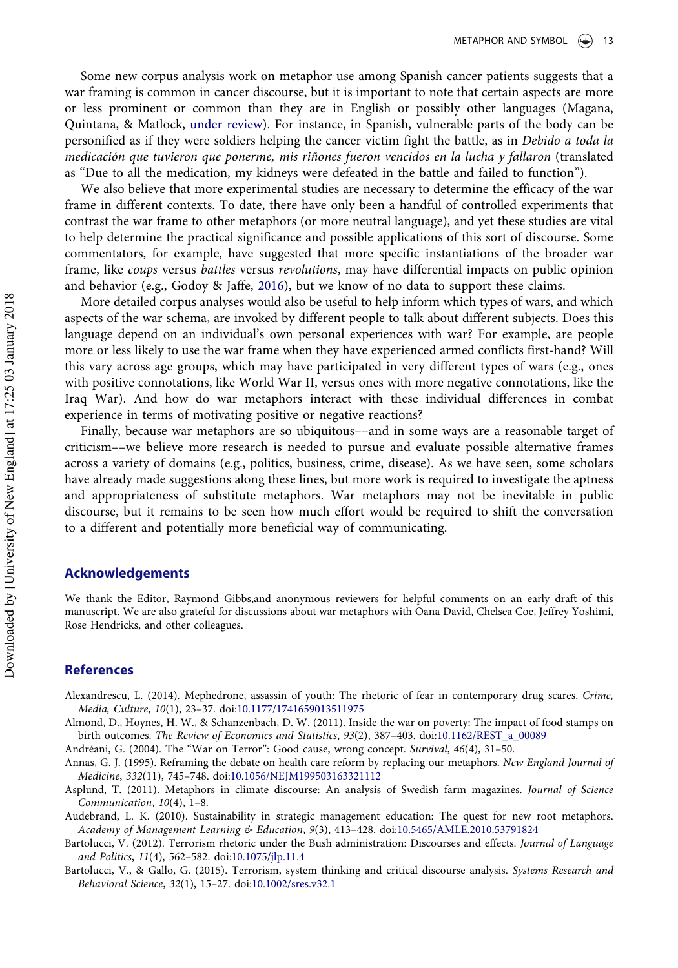Some new corpus analysis work on metaphor use among Spanish cancer patients suggests that a war framing is common in cancer discourse, but it is important to note that certain aspects are more or less prominent or common than they are in English or possibly other languages (Magana, Quintana, & Matlock, [under review](#page-15-31)). For instance, in Spanish, vulnerable parts of the body can be personified as if they were soldiers helping the cancer victim fight the battle, as in Debido a toda la medicación que tuvieron que ponerme, mis riñones fueron vencidos en la lucha y fallaron (translated as "Due to all the medication, my kidneys were defeated in the battle and failed to function").

We also believe that more experimental studies are necessary to determine the efficacy of the war frame in different contexts. To date, there have only been a handful of controlled experiments that contrast the war frame to other metaphors (or more neutral language), and yet these studies are vital to help determine the practical significance and possible applications of this sort of discourse. Some commentators, for example, have suggested that more specific instantiations of the broader war frame, like coups versus battles versus revolutions, may have differential impacts on public opinion and behavior (e.g., Godoy & Jaffe, [2016](#page-14-30)), but we know of no data to support these claims.

More detailed corpus analyses would also be useful to help inform which types of wars, and which aspects of the war schema, are invoked by different people to talk about different subjects. Does this language depend on an individual's own personal experiences with war? For example, are people more or less likely to use the war frame when they have experienced armed conflicts first-hand? Will this vary across age groups, which may have participated in very different types of wars (e.g., ones with positive connotations, like World War II, versus ones with more negative connotations, like the Iraq War). And how do war metaphors interact with these individual differences in combat experience in terms of motivating positive or negative reactions?

Finally, because war metaphors are so ubiquitous––and in some ways are a reasonable target of criticism––we believe more research is needed to pursue and evaluate possible alternative frames across a variety of domains (e.g., politics, business, crime, disease). As we have seen, some scholars have already made suggestions along these lines, but more work is required to investigate the aptness and appropriateness of substitute metaphors. War metaphors may not be inevitable in public discourse, but it remains to be seen how much effort would be required to shift the conversation to a different and potentially more beneficial way of communicating.

#### Acknowledgements

We thank the Editor, Raymond Gibbs,and anonymous reviewers for helpful comments on an early draft of this manuscript. We are also grateful for discussions about war metaphors with Oana David, Chelsea Coe, Jeffrey Yoshimi, Rose Hendricks, and other colleagues.

#### References

- <span id="page-12-0"></span>Alexandrescu, L. (2014). Mephedrone, assassin of youth: The rhetoric of fear in contemporary drug scares. Crime, Media, Culture, 10(1), 23–37. doi[:10.1177/1741659013511975](http://dx.doi.org/10.1177/1741659013511975)
- <span id="page-12-4"></span>Almond, D., Hoynes, H. W., & Schanzenbach, D. W. (2011). Inside the war on poverty: The impact of food stamps on birth outcomes. The Review of Economics and Statistics, 93(2), 387–403. doi:[10.1162/REST\\_a\\_00089](http://dx.doi.org/10.1162/REST_a_00089)

<span id="page-12-7"></span><span id="page-12-5"></span>Andréani, G. (2004). The "War on Terror": Good cause, wrong concept. Survival, 46(4), 31–50.

- Annas, G. J. (1995). Reframing the debate on health care reform by replacing our metaphors. New England Journal of Medicine, 332(11), 745–748. doi[:10.1056/NEJM199503163321112](http://dx.doi.org/10.1056/NEJM199503163321112)
- <span id="page-12-3"></span>Asplund, T. (2011). Metaphors in climate discourse: An analysis of Swedish farm magazines. Journal of Science Communication, 10(4), 1–8.
- <span id="page-12-2"></span>Audebrand, L. K. (2010). Sustainability in strategic management education: The quest for new root metaphors. Academy of Management Learning & Education, 9(3), 413–428. doi[:10.5465/AMLE.2010.53791824](http://dx.doi.org/10.5465/AMLE.2010.53791824)
- <span id="page-12-1"></span>Bartolucci, V. (2012). Terrorism rhetoric under the Bush administration: Discourses and effects. Journal of Language and Politics, 11(4), 562–582. doi[:10.1075/jlp.11.4](http://dx.doi.org/10.1075/jlp.11.4)
- <span id="page-12-6"></span>Bartolucci, V., & Gallo, G. (2015). Terrorism, system thinking and critical discourse analysis. Systems Research and Behavioral Science, 32(1), 15–27. doi[:10.1002/sres.v32.1](http://dx.doi.org/10.1002/sres.v32.1)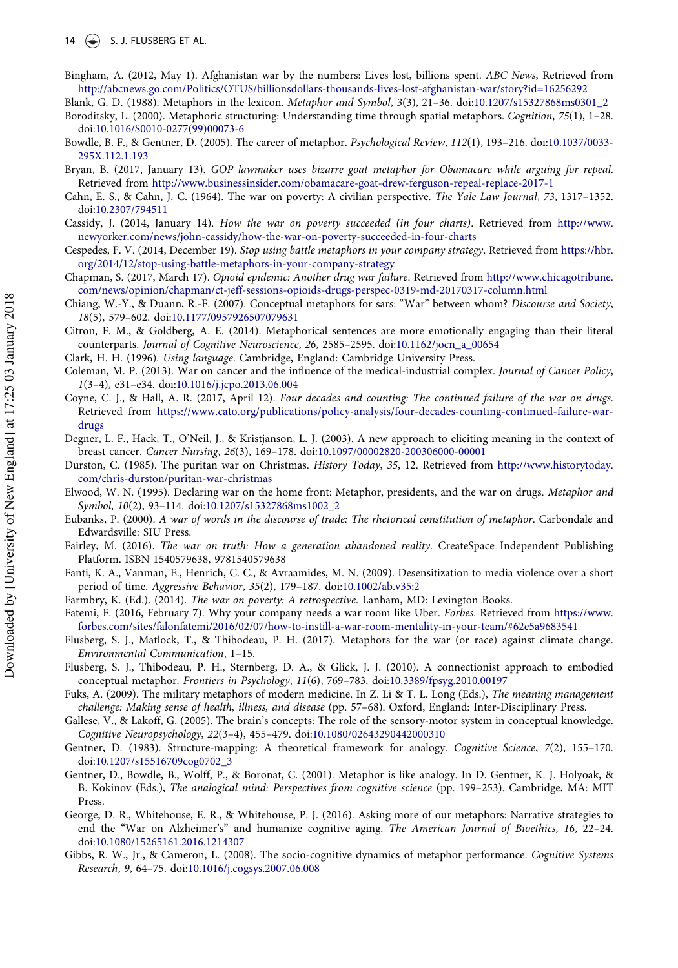<span id="page-13-23"></span>Bingham, A. (2012, May 1). Afghanistan war by the numbers: Lives lost, billions spent. ABC News, Retrieved from <http://abcnews.go.com/Politics/OTUS/billionsdollars-thousands-lives-lost-afghanistan-war/story?id=16256292>

<span id="page-13-12"></span>Blank, G. D. (1988). Metaphors in the lexicon. Metaphor and Symbol, 3(3), 21–36. doi[:10.1207/s15327868ms0301\\_2](http://dx.doi.org/10.1207/s15327868ms0301_2)

- <span id="page-13-11"></span>Boroditsky, L. (2000). Metaphoric structuring: Understanding time through spatial metaphors. Cognition, 75(1), 1–28. doi[:10.1016/S0010-0277\(99\)00073-6](http://dx.doi.org/10.1016/S0010-0277(99)00073-6)
- <span id="page-13-8"></span>Bowdle, B. F., & Gentner, D. (2005). The career of metaphor. Psychological Review, 112(1), 193–216. doi[:10.1037/0033-](http://dx.doi.org/10.1037/0033-295X.112.1.193) [295X.112.1.193](http://dx.doi.org/10.1037/0033-295X.112.1.193)
- <span id="page-13-13"></span>Bryan, B. (2017, January 13). GOP lawmaker uses bizarre goat metaphor for Obamacare while arguing for repeal. Retrieved from <http://www.businessinsider.com/obamacare-goat-drew-ferguson-repeal-replace-2017-1>
- <span id="page-13-18"></span>Cahn, E. S., & Cahn, J. C. (1964). The war on poverty: A civilian perspective. The Yale Law Journal, 73, 1317–1352. doi[:10.2307/794511](http://dx.doi.org/10.2307/794511)
- <span id="page-13-25"></span>Cassidy, J. (2014, January 14). How the war on poverty succeeded (in four charts). Retrieved from [http://www.](http://www.newyorker.com/news/john-cassidy/how-the-war-on-poverty-succeeded-in-four-charts) [newyorker.com/news/john-cassidy/how-the-war-on-poverty-succeeded-in-four-charts](http://www.newyorker.com/news/john-cassidy/how-the-war-on-poverty-succeeded-in-four-charts)
- <span id="page-13-3"></span>Cespedes, F. V. (2014, December 19). Stop using battle metaphors in your company strategy. Retrieved from [https://hbr.](https://hbr.org/2014/12/stop-using-battle-metaphors-in-your-company-strategy) [org/2014/12/stop-using-battle-metaphors-in-your-company-strategy](https://hbr.org/2014/12/stop-using-battle-metaphors-in-your-company-strategy)
- <span id="page-13-5"></span>Chapman, S. (2017, March 17). Opioid epidemic: Another drug war failure. Retrieved from [http://www.chicagotribune.](http://www.chicagotribune.com/news/opinion/chapman/ct-jeff-sessions-opioids-drugs-perspec-0319-md-20170317-column.html) [com/news/opinion/chapman/ct-jeff-sessions-opioids-drugs-perspec-0319-md-20170317-column.html](http://www.chicagotribune.com/news/opinion/chapman/ct-jeff-sessions-opioids-drugs-perspec-0319-md-20170317-column.html)
- <span id="page-13-20"></span>Chiang, W.-Y., & Duann, R.-F. (2007). Conceptual metaphors for sars: "War" between whom? Discourse and Society, 18(5), 579–602. doi:[10.1177/0957926507079631](http://dx.doi.org/10.1177/0957926507079631)
- <span id="page-13-7"></span>Citron, F. M., & Goldberg, A. E. (2014). Metaphorical sentences are more emotionally engaging than their literal counterparts. Journal of Cognitive Neuroscience, 26, 2585–2595. doi:[10.1162/jocn\\_a\\_00654](http://dx.doi.org/10.1162/jocn_a_00654)
- <span id="page-13-14"></span><span id="page-13-1"></span>Clark, H. H. (1996). Using language. Cambridge, England: Cambridge University Press.
- Coleman, M. P. (2013). War on cancer and the influence of the medical-industrial complex. Journal of Cancer Policy, 1(3–4), e31–e34. doi[:10.1016/j.jcpo.2013.06.004](http://dx.doi.org/10.1016/j.jcpo.2013.06.004)
- <span id="page-13-26"></span>Coyne, C. J., & Hall, A. R. (2017, April 12). Four decades and counting: The continued failure of the war on drugs. Retrieved from [https://www.cato.org/publications/policy-analysis/four-decades-counting-continued-failure-war](https://www.cato.org/publications/policy-analysis/four-decades-counting-continued-failure-war-drugs)[drugs](https://www.cato.org/publications/policy-analysis/four-decades-counting-continued-failure-war-drugs)
- <span id="page-13-15"></span>Degner, L. F., Hack, T., O'Neil, J., & Kristjanson, L. J. (2003). A new approach to eliciting meaning in the context of breast cancer. Cancer Nursing, 26(3), 169–178. doi[:10.1097/00002820-200306000-00001](http://dx.doi.org/10.1097/00002820-200306000-00001)
- <span id="page-13-4"></span>Durston, C. (1985). The puritan war on Christmas. History Today, 35, 12. Retrieved from [http://www.historytoday.](http://www.historytoday.com/chris-durston/puritan-war-christmas) [com/chris-durston/puritan-war-christmas](http://www.historytoday.com/chris-durston/puritan-war-christmas)
- <span id="page-13-6"></span>Elwood, W. N. (1995). Declaring war on the home front: Metaphor, presidents, and the war on drugs. Metaphor and Symbol, 10(2), 93–114. doi:[10.1207/s15327868ms1002\\_2](http://dx.doi.org/10.1207/s15327868ms1002_2)
- <span id="page-13-19"></span>Eubanks, P. (2000). A war of words in the discourse of trade: The rhetorical constitution of metaphor. Carbondale and Edwardsville: SIU Press.
- <span id="page-13-2"></span>Fairley, M. (2016). The war on truth: How a generation abandoned reality. CreateSpace Independent Publishing Platform. ISBN 1540579638, 9781540579638
- <span id="page-13-24"></span>Fanti, K. A., Vanman, E., Henrich, C. C., & Avraamides, M. N. (2009). Desensitization to media violence over a short period of time. Aggressive Behavior, 35(2), 179–187. doi:[10.1002/ab.v35:2](http://dx.doi.org/10.1002/ab.v35:2)
- <span id="page-13-21"></span><span id="page-13-0"></span>Farmbry, K. (Ed.). (2014). The war on poverty: A retrospective. Lanham, MD: Lexington Books.
- Fatemi, F. (2016, February 7). Why your company needs a war room like Uber. Forbes. Retrieved from [https://www.](https://www.forbes.com/sites/falonfatemi/2016/02/07/how-to-instill-a-war-room-mentality-in-your-team/%2362e5a9683541) [forbes.com/sites/falonfatemi/2016/02/07/how-to-instill-a-war-room-mentality-in-your-team/#62e5a9683541](https://www.forbes.com/sites/falonfatemi/2016/02/07/how-to-instill-a-war-room-mentality-in-your-team/%2362e5a9683541)
- <span id="page-13-16"></span>Flusberg, S. J., Matlock, T., & Thibodeau, P. H. (2017). Metaphors for the war (or race) against climate change. Environmental Communication, 1–15.
- <span id="page-13-27"></span>Flusberg, S. J., Thibodeau, P. H., Sternberg, D. A., & Glick, J. J. (2010). A connectionist approach to embodied conceptual metaphor. Frontiers in Psychology, 11(6), 769–783. doi:[10.3389/fpsyg.2010.00197](http://dx.doi.org/10.3389/fpsyg.2010.00197)
- <span id="page-13-22"></span>Fuks, A. (2009). The military metaphors of modern medicine. In Z. Li & T. L. Long (Eds.), The meaning management challenge: Making sense of health, illness, and disease (pp. 57–68). Oxford, England: Inter-Disciplinary Press.
- <span id="page-13-28"></span>Gallese, V., & Lakoff, G. (2005). The brain's concepts: The role of the sensory-motor system in conceptual knowledge. Cognitive Neuropsychology, 22(3–4), 455–479. doi[:10.1080/02643290442000310](http://dx.doi.org/10.1080/02643290442000310)
- <span id="page-13-9"></span>Gentner, D. (1983). Structure-mapping: A theoretical framework for analogy. Cognitive Science, 7(2), 155–170. doi[:10.1207/s15516709cog0702\\_3](http://dx.doi.org/10.1207/s15516709cog0702_3)
- Gentner, D., Bowdle, B., Wolff, P., & Boronat, C. (2001). Metaphor is like analogy. In D. Gentner, K. J. Holyoak, & B. Kokinov (Eds.), The analogical mind: Perspectives from cognitive science (pp. 199–253). Cambridge, MA: MIT Press.
- <span id="page-13-17"></span>George, D. R., Whitehouse, E. R., & Whitehouse, P. J. (2016). Asking more of our metaphors: Narrative strategies to end the "War on Alzheimer's" and humanize cognitive aging. The American Journal of Bioethics, 16, 22–24. doi[:10.1080/15265161.2016.1214307](http://dx.doi.org/10.1080/15265161.2016.1214307)
- <span id="page-13-10"></span>Gibbs, R. W., Jr., & Cameron, L. (2008). The socio-cognitive dynamics of metaphor performance. Cognitive Systems Research, 9, 64–75. doi:[10.1016/j.cogsys.2007.06.008](http://dx.doi.org/10.1016/j.cogsys.2007.06.008)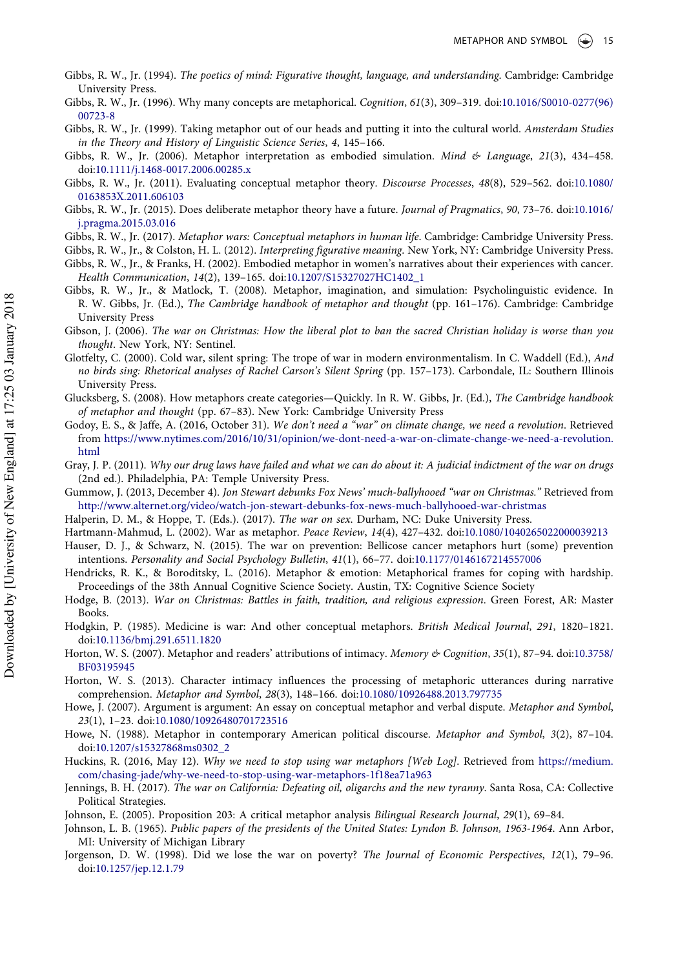- <span id="page-14-9"></span>Gibbs, R. W., Jr. (1994). The poetics of mind: Figurative thought, language, and understanding. Cambridge: Cambridge University Press.
- <span id="page-14-15"></span>Gibbs, R. W., Jr. (1996). Why many concepts are metaphorical. Cognition, 61(3), 309–319. doi[:10.1016/S0010-0277\(96\)](http://dx.doi.org/10.1016/S0010-0277(96)00723-8) [00723-8](http://dx.doi.org/10.1016/S0010-0277(96)00723-8)
- <span id="page-14-13"></span>Gibbs, R. W., Jr. (1999). Taking metaphor out of our heads and putting it into the cultural world. Amsterdam Studies in the Theory and History of Linguistic Science Series, 4, 145–166.
- <span id="page-14-26"></span>Gibbs, R. W., Jr. (2006). Metaphor interpretation as embodied simulation. Mind & Language, 21(3), 434-458. doi[:10.1111/j.1468-0017.2006.00285.x](http://dx.doi.org/10.1111/j.1468-0017.2006.00285.x)
- <span id="page-14-14"></span>Gibbs, R. W., Jr. (2011). Evaluating conceptual metaphor theory. Discourse Processes, 48(8), 529-562. doi:[10.1080/](http://dx.doi.org/10.1080/0163853X.2011.606103) [0163853X.2011.606103](http://dx.doi.org/10.1080/0163853X.2011.606103)
- <span id="page-14-29"></span>Gibbs, R. W., Jr. (2015). Does deliberate metaphor theory have a future. Journal of Pragmatics, 90, 73-76. doi:[10.1016/](http://dx.doi.org/10.1016/j.pragma.2015.03.016) [j.pragma.2015.03.016](http://dx.doi.org/10.1016/j.pragma.2015.03.016)
- <span id="page-14-4"></span>Gibbs, R. W., Jr. (2017). Metaphor wars: Conceptual metaphors in human life. Cambridge: Cambridge University Press.
- <span id="page-14-25"></span><span id="page-14-10"></span>Gibbs, R. W., Jr., & Colston, H. L. (2012). Interpreting figurative meaning. New York, NY: Cambridge University Press. Gibbs, R. W., Jr., & Franks, H. (2002). Embodied metaphor in women's narratives about their experiences with cancer. Health Communication, 14(2), 139–165. doi[:10.1207/S15327027HC1402\\_1](http://dx.doi.org/10.1207/S15327027HC1402_1)
- <span id="page-14-27"></span>Gibbs, R. W., Jr., & Matlock, T. (2008). Metaphor, imagination, and simulation: Psycholinguistic evidence. In R. W. Gibbs, Jr. (Ed.), The Cambridge handbook of metaphor and thought (pp. 161–176). Cambridge: Cambridge University Press
- <span id="page-14-7"></span>Gibson, J. (2006). The war on Christmas: How the liberal plot to ban the sacred Christian holiday is worse than you thought. New York, NY: Sentinel.
- <span id="page-14-21"></span>Glotfelty, C. (2000). Cold war, silent spring: The trope of war in modern environmentalism. In C. Waddell (Ed.), And no birds sing: Rhetorical analyses of Rachel Carson's Silent Spring (pp. 157–173). Carbondale, IL: Southern Illinois University Press.
- <span id="page-14-17"></span>Glucksberg, S. (2008). How metaphors create categories—Quickly. In R. W. Gibbs, Jr. (Ed.), The Cambridge handbook of metaphor and thought (pp. 67–83). New York: Cambridge University Press
- <span id="page-14-30"></span>Godoy, E. S., & Jaffe, A. (2016, October 31). We don't need a "war" on climate change, we need a revolution. Retrieved from [https://www.nytimes.com/2016/10/31/opinion/we-dont-need-a-war-on-climate-change-we-need-a-revolution.](https://www.nytimes.com/2016/10/31/opinion/we-dont-need-a-war-on-climate-change-we-need-a-revolution.html) [html](https://www.nytimes.com/2016/10/31/opinion/we-dont-need-a-war-on-climate-change-we-need-a-revolution.html)
- <span id="page-14-24"></span>Gray, J. P. (2011). Why our drug laws have failed and what we can do about it: A judicial indictment of the war on drugs (2nd ed.). Philadelphia, PA: Temple University Press.
- <span id="page-14-1"></span>Gummow, J. (2013, December 4). Jon Stewart debunks Fox News' much-ballyhooed "war on Christmas." Retrieved from <http://www.alternet.org/video/watch-jon-stewart-debunks-fox-news-much-ballyhooed-war-christmas>
- <span id="page-14-5"></span><span id="page-14-3"></span>Halperin, D. M., & Hoppe, T. (Eds.). (2017). The war on sex. Durham, NC: Duke University Press.
- Hartmann-Mahmud, L. (2002). War as metaphor. Peace Review, 14(4), 427–432. doi[:10.1080/1040265022000039213](http://dx.doi.org/10.1080/1040265022000039213)
- <span id="page-14-19"></span>Hauser, D. J., & Schwarz, N. (2015). The war on prevention: Bellicose cancer metaphors hurt (some) prevention intentions. Personality and Social Psychology Bulletin, 41(1), 66–77. doi[:10.1177/0146167214557006](http://dx.doi.org/10.1177/0146167214557006)
- <span id="page-14-18"></span>Hendricks, R. K., & Boroditsky, L. (2016). Metaphor & emotion: Metaphorical frames for coping with hardship. Proceedings of the 38th Annual Cognitive Science Society. Austin, TX: Cognitive Science Society
- <span id="page-14-8"></span>Hodge, B. (2013). War on Christmas: Battles in faith, tradition, and religious expression. Green Forest, AR: Master Books.
- <span id="page-14-20"></span>Hodgkin, P. (1985). Medicine is war: And other conceptual metaphors. British Medical Journal, 291, 1820–1821. doi[:10.1136/bmj.291.6511.1820](http://dx.doi.org/10.1136/bmj.291.6511.1820)
- <span id="page-14-11"></span>Horton, W. S. (2007). Metaphor and readers' attributions of intimacy. Memory & Cognition, 35(1), 87-94. doi:[10.3758/](http://dx.doi.org/10.3758/BF03195945) [BF03195945](http://dx.doi.org/10.3758/BF03195945)
- <span id="page-14-12"></span>Horton, W. S. (2013). Character intimacy influences the processing of metaphoric utterances during narrative comprehension. Metaphor and Symbol, 28(3), 148–166. doi:[10.1080/10926488.2013.797735](http://dx.doi.org/10.1080/10926488.2013.797735)
- <span id="page-14-28"></span>Howe, J. (2007). Argument is argument: An essay on conceptual metaphor and verbal dispute. Metaphor and Symbol, 23(1), 1–23. doi[:10.1080/10926480701723516](http://dx.doi.org/10.1080/10926480701723516)
- <span id="page-14-16"></span>Howe, N. (1988). Metaphor in contemporary American political discourse. Metaphor and Symbol, 3(2), 87-104. doi[:10.1207/s15327868ms0302\\_2](http://dx.doi.org/10.1207/s15327868ms0302_2)
- <span id="page-14-6"></span>Huckins, R. (2016, May 12). Why we need to stop using war metaphors [Web Log]. Retrieved from [https://medium.](https://medium.com/chasing-jade/why-we-need-to-stop-using-war-metaphors-1f18ea71a963) [com/chasing-jade/why-we-need-to-stop-using-war-metaphors-1f18ea71a963](https://medium.com/chasing-jade/why-we-need-to-stop-using-war-metaphors-1f18ea71a963)
- <span id="page-14-2"></span>Jennings, B. H. (2017). The war on California: Defeating oil, oligarchs and the new tyranny. Santa Rosa, CA: Collective Political Strategies.
- <span id="page-14-22"></span><span id="page-14-0"></span>Johnson, E. (2005). Proposition 203: A critical metaphor analysis Bilingual Research Journal, 29(1), 69–84.
- Johnson, L. B. (1965). Public papers of the presidents of the United States: Lyndon B. Johnson, 1963-1964. Ann Arbor, MI: University of Michigan Library
- <span id="page-14-23"></span>Jorgenson, D. W. (1998). Did we lose the war on poverty? The Journal of Economic Perspectives, 12(1), 79–96. doi[:10.1257/jep.12.1.79](http://dx.doi.org/10.1257/jep.12.1.79)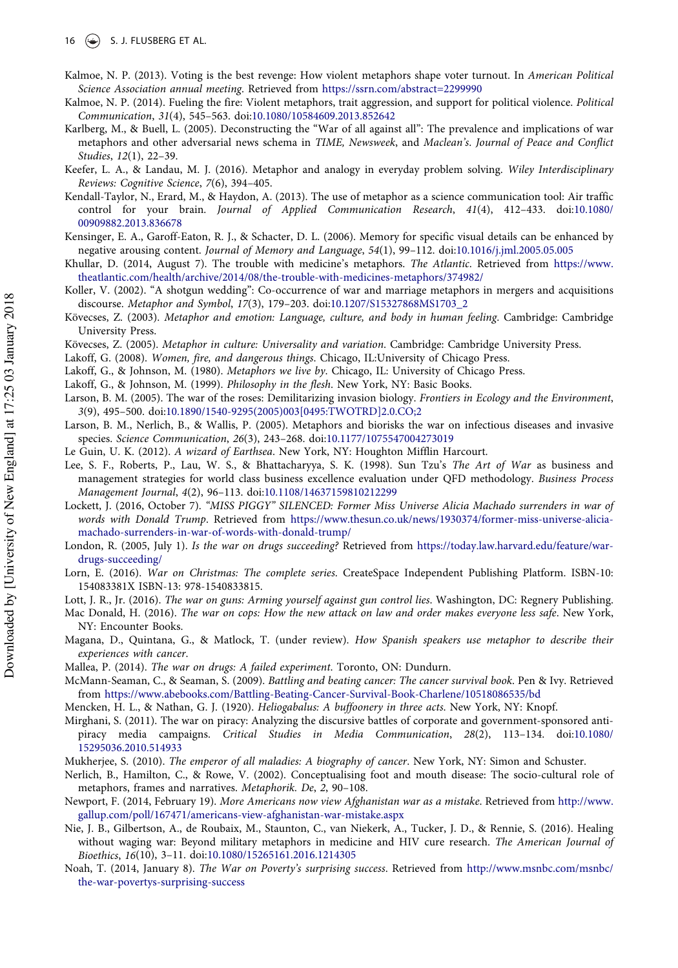- <span id="page-15-12"></span>Kalmoe, N. P. (2013). Voting is the best revenge: How violent metaphors shape voter turnout. In American Political Science Association annual meeting. Retrieved from <https://ssrn.com/abstract=2299990>
- <span id="page-15-20"></span>Kalmoe, N. P. (2014). Fueling the fire: Violent metaphors, trait aggression, and support for political violence. Political Communication, 31(4), 545–563. doi[:10.1080/10584609.2013.852642](http://dx.doi.org/10.1080/10584609.2013.852642)
- <span id="page-15-4"></span>Karlberg, M., & Buell, L. (2005). Deconstructing the "War of all against all": The prevalence and implications of war metaphors and other adversarial news schema in TIME, Newsweek, and Maclean's. Journal of Peace and Conflict Studies, 12(1), 22–39.
- <span id="page-15-7"></span>Keefer, L. A., & Landau, M. J. (2016). Metaphor and analogy in everyday problem solving. Wiley Interdisciplinary Reviews: Cognitive Science, 7(6), 394–405.
- <span id="page-15-9"></span>Kendall-Taylor, N., Erard, M., & Haydon, A. (2013). The use of metaphor as a science communication tool: Air traffic control for your brain. Journal of Applied Communication Research, 41(4), 412–433. doi:[10.1080/](http://dx.doi.org/10.1080/00909882.2013.836678) [00909882.2013.836678](http://dx.doi.org/10.1080/00909882.2013.836678)
- <span id="page-15-25"></span>Kensinger, E. A., Garoff-Eaton, R. J., & Schacter, D. L. (2006). Memory for specific visual details can be enhanced by negative arousing content. Journal of Memory and Language, 54(1), 99–112. doi[:10.1016/j.jml.2005.05.005](http://dx.doi.org/10.1016/j.jml.2005.05.005)
- <span id="page-15-18"></span>Khullar, D. (2014, August 7). The trouble with medicine's metaphors. The Atlantic. Retrieved from [https://www.](https://www.theatlantic.com/health/archive/2014/08/the-trouble-with-medicines-metaphors/374982/) [theatlantic.com/health/archive/2014/08/the-trouble-with-medicines-metaphors/374982/](https://www.theatlantic.com/health/archive/2014/08/the-trouble-with-medicines-metaphors/374982/)
- <span id="page-15-16"></span>Koller, V. (2002). "A shotgun wedding": Co-occurrence of war and marriage metaphors in mergers and acquisitions discourse. Metaphor and Symbol, 17(3), 179–203. doi:[10.1207/S15327868MS1703\\_2](http://dx.doi.org/10.1207/S15327868MS1703_2)
- <span id="page-15-10"></span>Kövecses, Z. (2003). Metaphor and emotion: Language, culture, and body in human feeling. Cambridge: Cambridge University Press.
- <span id="page-15-11"></span><span id="page-15-8"></span>Kövecses, Z. (2005). Metaphor in culture: Universality and variation. Cambridge: Cambridge University Press.
- <span id="page-15-6"></span>Lakoff, G. (2008). Women, fire, and dangerous things. Chicago, IL:University of Chicago Press.
- Lakoff, G., & Johnson, M. (1980). Metaphors we live by. Chicago, IL: University of Chicago Press.
- <span id="page-15-30"></span>Lakoff, G., & Johnson, M. (1999). Philosophy in the flesh. New York, NY: Basic Books.
- <span id="page-15-3"></span>Larson, B. M. (2005). The war of the roses: Demilitarizing invasion biology. Frontiers in Ecology and the Environment, 3(9), 495–500. doi[:10.1890/1540-9295\(2005\)003\[0495:TWOTRD\]2.0.CO;2](http://dx.doi.org/10.1890/1540-9295(2005)003%5B0495:TWOTRD%5D2.0.CO;2)
- <span id="page-15-14"></span>Larson, B. M., Nerlich, B., & Wallis, P. (2005). Metaphors and biorisks the war on infectious diseases and invasive species. Science Communication, 26(3), 243–268. doi:[10.1177/1075547004273019](http://dx.doi.org/10.1177/1075547004273019)
- <span id="page-15-23"></span>Le Guin, U. K. (2012). A wizard of Earthsea. New York, NY: Houghton Mifflin Harcourt.
- <span id="page-15-21"></span>Lee, S. F., Roberts, P., Lau, W. S., & Bhattacharyya, S. K. (1998). Sun Tzu's The Art of War as business and management strategies for world class business excellence evaluation under QFD methodology. Business Process Management Journal, 4(2), 96–113. doi:[10.1108/14637159810212299](http://dx.doi.org/10.1108/14637159810212299)
- <span id="page-15-24"></span>Lockett, J. (2016, October 7). "MISS PIGGY" SILENCED: Former Miss Universe Alicia Machado surrenders in war of words with Donald Trump. Retrieved from [https://www.thesun.co.uk/news/1930374/former-miss-universe-alicia](https://www.thesun.co.uk/news/1930374/former-miss-universe-alicia-machado-surrenders-in-war-of-words-with-donald-trump/)[machado-surrenders-in-war-of-words-with-donald-trump/](https://www.thesun.co.uk/news/1930374/former-miss-universe-alicia-machado-surrenders-in-war-of-words-with-donald-trump/)
- <span id="page-15-27"></span>London, R. (2005, July 1). Is the war on drugs succeeding? Retrieved from [https://today.law.harvard.edu/feature/war](https://today.law.harvard.edu/feature/war-drugs-succeeding/)[drugs-succeeding/](https://today.law.harvard.edu/feature/war-drugs-succeeding/)
- <span id="page-15-5"></span>Lorn, E. (2016). War on Christmas: The complete series. CreateSpace Independent Publishing Platform. ISBN-10: 154083381X ISBN-13: 978-1540833815.
- <span id="page-15-2"></span>Lott, J. R., Jr. (2016). The war on guns: Arming yourself against gun control lies. Washington, DC: Regnery Publishing.
- <span id="page-15-1"></span>Mac Donald, H. (2016). The war on cops: How the new attack on law and order makes everyone less safe. New York, NY: Encounter Books.
- <span id="page-15-31"></span>Magana, D., Quintana, G., & Matlock, T. (under review). How Spanish speakers use metaphor to describe their experiences with cancer.
- <span id="page-15-22"></span>Mallea, P. (2014). The war on drugs: A failed experiment. Toronto, ON: Dundurn.
- <span id="page-15-0"></span>McMann-Seaman, C., & Seaman, S. (2009). Battling and beating cancer: The cancer survival book. Pen & Ivy. Retrieved from <https://www.abebooks.com/Battling-Beating-Cancer-Survival-Book-Charlene/10518086535/bd>
- <span id="page-15-29"></span>Mencken, H. L., & Nathan, G. J. (1920). Heliogabalus: A buffoonery in three acts. New York, NY: Knopf.
- <span id="page-15-13"></span>Mirghani, S. (2011). The war on piracy: Analyzing the discursive battles of corporate and government-sponsored antipiracy media campaigns. Critical Studies in Media Communication, 28(2), 113–134. doi:[10.1080/](http://dx.doi.org/10.1080/15295036.2010.514933) [15295036.2010.514933](http://dx.doi.org/10.1080/15295036.2010.514933)
- <span id="page-15-19"></span><span id="page-15-15"></span>Mukherjee, S. (2010). The emperor of all maladies: A biography of cancer. New York, NY: Simon and Schuster.
- Nerlich, B., Hamilton, C., & Rowe, V. (2002). Conceptualising foot and mouth disease: The socio-cultural role of metaphors, frames and narratives. Metaphorik. De, 2, 90–108.
- <span id="page-15-26"></span>Newport, F. (2014, February 19). More Americans now view Afghanistan war as a mistake. Retrieved from [http://www.](http://www.gallup.com/poll/167471/americans-view-afghanistan-war-mistake.aspx) [gallup.com/poll/167471/americans-view-afghanistan-war-mistake.aspx](http://www.gallup.com/poll/167471/americans-view-afghanistan-war-mistake.aspx)
- <span id="page-15-17"></span>Nie, J. B., Gilbertson, A., de Roubaix, M., Staunton, C., van Niekerk, A., Tucker, J. D., & Rennie, S. (2016). Healing without waging war: Beyond military metaphors in medicine and HIV cure research. The American Journal of Bioethics, 16(10), 3–11. doi[:10.1080/15265161.2016.1214305](http://dx.doi.org/10.1080/15265161.2016.1214305)
- <span id="page-15-28"></span>Noah, T. (2014, January 8). The War on Poverty's surprising success. Retrieved from [http://www.msnbc.com/msnbc/](http://www.msnbc.com/msnbc/the-war-povertys-surprising-success) [the-war-povertys-surprising-success](http://www.msnbc.com/msnbc/the-war-povertys-surprising-success)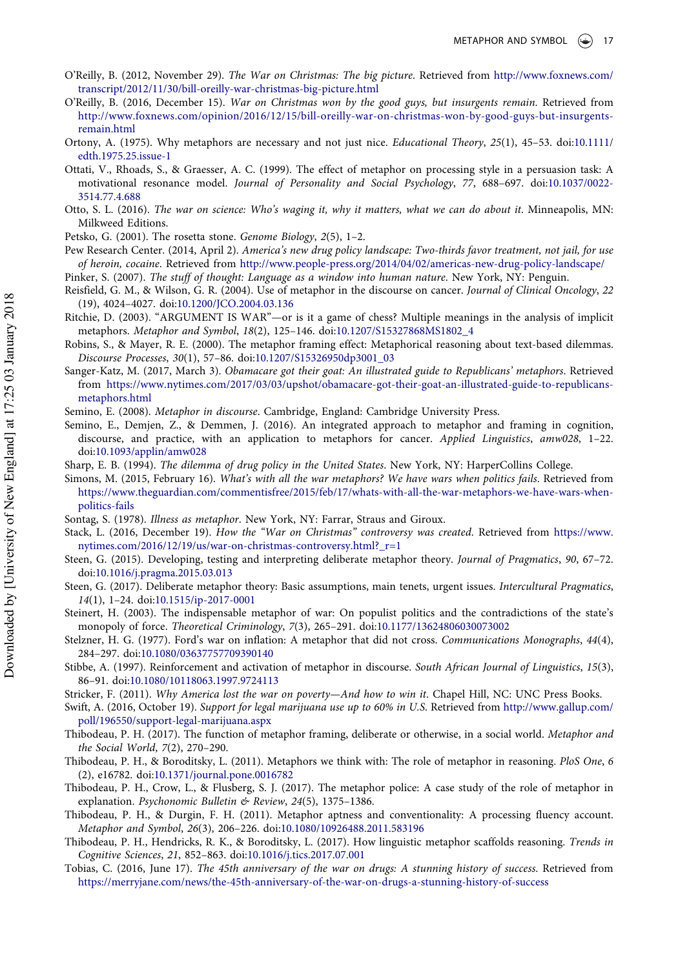- <span id="page-16-2"></span>O'Reilly, B. (2012, November 29). The War on Christmas: The big picture. Retrieved from [http://www.foxnews.com/](http://www.foxnews.com/transcript/2012/11/30/bill-oreilly-war-christmas-big-picture.html) [transcript/2012/11/30/bill-oreilly-war-christmas-big-picture.html](http://www.foxnews.com/transcript/2012/11/30/bill-oreilly-war-christmas-big-picture.html)
- <span id="page-16-3"></span>O'Reilly, B. (2016, December 15). War on Christmas won by the good guys, but insurgents remain. Retrieved from [http://www.foxnews.com/opinion/2016/12/15/bill-oreilly-war-on-christmas-won-by-good-guys-but-insurgents](http://www.foxnews.com/opinion/2016/12/15/bill-oreilly-war-on-christmas-won-by-good-guys-but-insurgents-remain.html)[remain.html](http://www.foxnews.com/opinion/2016/12/15/bill-oreilly-war-on-christmas-won-by-good-guys-but-insurgents-remain.html)
- <span id="page-16-9"></span>Ortony, A. (1975). Why metaphors are necessary and not just nice. Educational Theory, 25(1), 45–53. doi:[10.1111/](http://dx.doi.org/10.1111/edth.1975.25.issue-1) [edth.1975.25.issue-1](http://dx.doi.org/10.1111/edth.1975.25.issue-1)
- <span id="page-16-15"></span>Ottati, V., Rhoads, S., & Graesser, A. C. (1999). The effect of metaphor on processing style in a persuasion task: A motivational resonance model. Journal of Personality and Social Psychology, 77, 688–697. doi[:10.1037/0022-](http://dx.doi.org/10.1037/0022-3514.77.4.688) [3514.77.4.688](http://dx.doi.org/10.1037/0022-3514.77.4.688)
- <span id="page-16-5"></span>Otto, S. L. (2016). The war on science: Who's waging it, why it matters, what we can do about it. Minneapolis, MN: Milkweed Editions.
- <span id="page-16-17"></span>Petsko, G. (2001). The rosetta stone. Genome Biology, 2(5), 1–2.
- <span id="page-16-26"></span>Pew Research Center. (2014, April 2). America's new drug policy landscape: Two-thirds favor treatment, not jail, for use of heroin, cocaine. Retrieved from <http://www.people-press.org/2014/04/02/americas-new-drug-policy-landscape/> Pinker, S. (2007). The stuff of thought: Language as a window into human nature. New York, NY: Penguin.
- <span id="page-16-18"></span><span id="page-16-7"></span>
- Reisfield, G. M., & Wilson, G. R. (2004). Use of metaphor in the discourse on cancer. Journal of Clinical Oncology, 22 (19), 4024–4027. doi:[10.1200/JCO.2004.03.136](http://dx.doi.org/10.1200/JCO.2004.03.136)
- <span id="page-16-13"></span>Ritchie, D. (2003). "ARGUMENT IS WAR"—or is it a game of chess? Multiple meanings in the analysis of implicit metaphors. Metaphor and Symbol, 18(2), 125–146. doi:[10.1207/S15327868MS1802\\_4](http://dx.doi.org/10.1207/S15327868MS1802_4)
- <span id="page-16-16"></span>Robins, S., & Mayer, R. E. (2000). The metaphor framing effect: Metaphorical reasoning about text-based dilemmas. Discourse Processes, 30(1), 57–86. doi:[10.1207/S15326950dp3001\\_03](http://dx.doi.org/10.1207/S15326950dp3001_03)
- <span id="page-16-14"></span>Sanger-Katz, M. (2017, March 3). Obamacare got their goat: An illustrated guide to Republicans' metaphors. Retrieved from [https://www.nytimes.com/2017/03/03/upshot/obamacare-got-their-goat-an-illustrated-guide-to-republicans](https://www.nytimes.com/2017/03/03/upshot/obamacare-got-their-goat-an-illustrated-guide-to-republicans-metaphors.html)[metaphors.html](https://www.nytimes.com/2017/03/03/upshot/obamacare-got-their-goat-an-illustrated-guide-to-republicans-metaphors.html)

<span id="page-16-25"></span><span id="page-16-24"></span>Semino, E. (2008). Metaphor in discourse. Cambridge, England: Cambridge University Press.

- Semino, E., Demjen, Z., & Demmen, J. (2016). An integrated approach to metaphor and framing in cognition, discourse, and practice, with an application to metaphors for cancer. Applied Linguistics, amw028, 1–22. doi[:10.1093/applin/amw028](http://dx.doi.org/10.1093/applin/amw028)
- <span id="page-16-0"></span>Sharp, E. B. (1994). The dilemma of drug policy in the United States. New York, NY: HarperCollins College.
- <span id="page-16-6"></span>Simons, M. (2015, February 16). What's with all the war metaphors? We have wars when politics fails. Retrieved from [https://www.theguardian.com/commentisfree/2015/feb/17/whats-with-all-the-war-metaphors-we-have-wars-when](https://www.theguardian.com/commentisfree/2015/feb/17/whats-with-all-the-war-metaphors-we-have-wars-when-politics-fails)[politics-fails](https://www.theguardian.com/commentisfree/2015/feb/17/whats-with-all-the-war-metaphors-we-have-wars-when-politics-fails)
- <span id="page-16-19"></span>Sontag, S. (1978). Illness as metaphor. New York, NY: Farrar, Straus and Giroux.
- <span id="page-16-4"></span>Stack, L. (2016, December 19). How the "War on Christmas" controversy was created. Retrieved from [https://www.](https://www.nytimes.com/2016/12/19/us/war-on-christmas-controversy.html?_r=1) [nytimes.com/2016/12/19/us/war-on-christmas-controversy.html?\\_r=1](https://www.nytimes.com/2016/12/19/us/war-on-christmas-controversy.html?_r=1)
- <span id="page-16-28"></span>Steen, G. (2015). Developing, testing and interpreting deliberate metaphor theory. Journal of Pragmatics, 90, 67–72. doi[:10.1016/j.pragma.2015.03.013](http://dx.doi.org/10.1016/j.pragma.2015.03.013)
- <span id="page-16-29"></span>Steen, G. (2017). Deliberate metaphor theory: Basic assumptions, main tenets, urgent issues. Intercultural Pragmatics, 14(1), 1–24. doi[:10.1515/ip-2017-0001](http://dx.doi.org/10.1515/ip-2017-0001)
- <span id="page-16-20"></span>Steinert, H. (2003). The indispensable metaphor of war: On populist politics and the contradictions of the state's monopoly of force. Theoretical Criminology, 7(3), 265–291. doi[:10.1177/13624806030073002](http://dx.doi.org/10.1177/13624806030073002)
- <span id="page-16-1"></span>Stelzner, H. G. (1977). Ford's war on inflation: A metaphor that did not cross. Communications Monographs, 44(4), 284–297. doi:[10.1080/03637757709390140](http://dx.doi.org/10.1080/03637757709390140)
- <span id="page-16-23"></span>Stibbe, A. (1997). Reinforcement and activation of metaphor in discourse. South African Journal of Linguistics, 15(3), 86–91. doi:[10.1080/10118063.1997.9724113](http://dx.doi.org/10.1080/10118063.1997.9724113)
- <span id="page-16-21"></span>Stricker, F. (2011). Why America lost the war on poverty—And how to win it. Chapel Hill, NC: UNC Press Books.
- <span id="page-16-27"></span>Swift, A. (2016, October 19). Support for legal marijuana use up to 60% in U.S. Retrieved from [http://www.gallup.com/](http://www.gallup.com/poll/196550/support-legal-marijuana.aspx) [poll/196550/support-legal-marijuana.aspx](http://www.gallup.com/poll/196550/support-legal-marijuana.aspx)
- <span id="page-16-30"></span>Thibodeau, P. H. (2017). The function of metaphor framing, deliberate or otherwise, in a social world. Metaphor and the Social World, 7(2), 270–290.
- <span id="page-16-8"></span>Thibodeau, P. H., & Boroditsky, L. (2011). Metaphors we think with: The role of metaphor in reasoning. PloS One, 6 (2), e16782. doi:[10.1371/journal.pone.0016782](http://dx.doi.org/10.1371/journal.pone.0016782)
- <span id="page-16-10"></span>Thibodeau, P. H., Crow, L., & Flusberg, S. J. (2017). The metaphor police: A case study of the role of metaphor in explanation. Psychonomic Bulletin & Review, 24(5), 1375-1386.
- <span id="page-16-11"></span>Thibodeau, P. H., & Durgin, F. H. (2011). Metaphor aptness and conventionality: A processing fluency account. Metaphor and Symbol, 26(3), 206–226. doi:[10.1080/10926488.2011.583196](http://dx.doi.org/10.1080/10926488.2011.583196)
- <span id="page-16-12"></span>Thibodeau, P. H., Hendricks, R. K., & Boroditsky, L. (2017). How linguistic metaphor scaffolds reasoning. Trends in Cognitive Sciences, 21, 852–863. doi:[10.1016/j.tics.2017.07.001](http://dx.doi.org/10.1016/j.tics.2017.07.001)
- <span id="page-16-22"></span>Tobias, C. (2016, June 17). The 45th anniversary of the war on drugs: A stunning history of success. Retrieved from <https://merryjane.com/news/the-45th-anniversary-of-the-war-on-drugs-a-stunning-history-of-success>